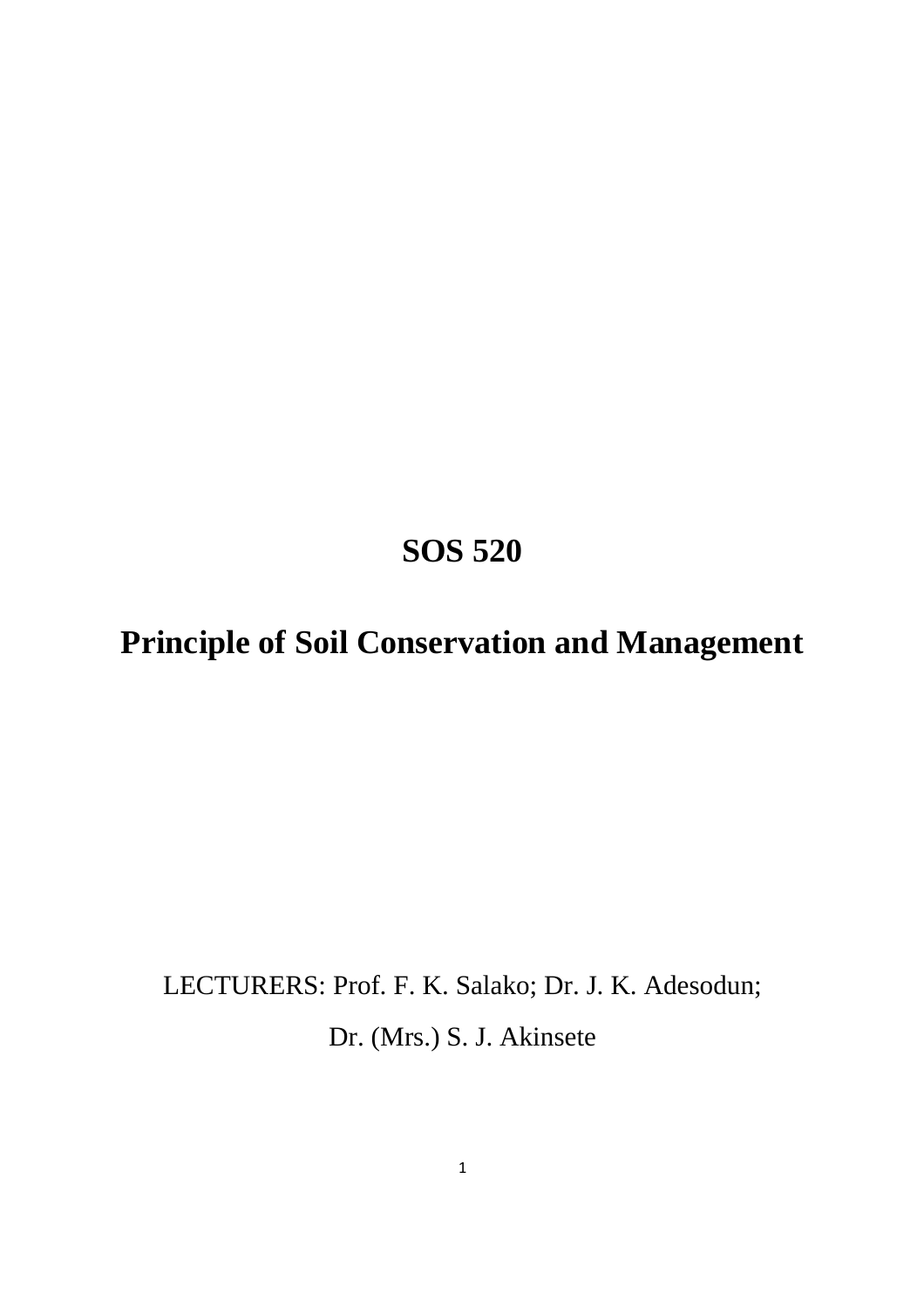# **SOS 520**

# **Principle of Soil Conservation and Management**

# LECTURERS: Prof. F. K. Salako; Dr. J. K. Adesodun;

Dr. (Mrs.) S. J. Akinsete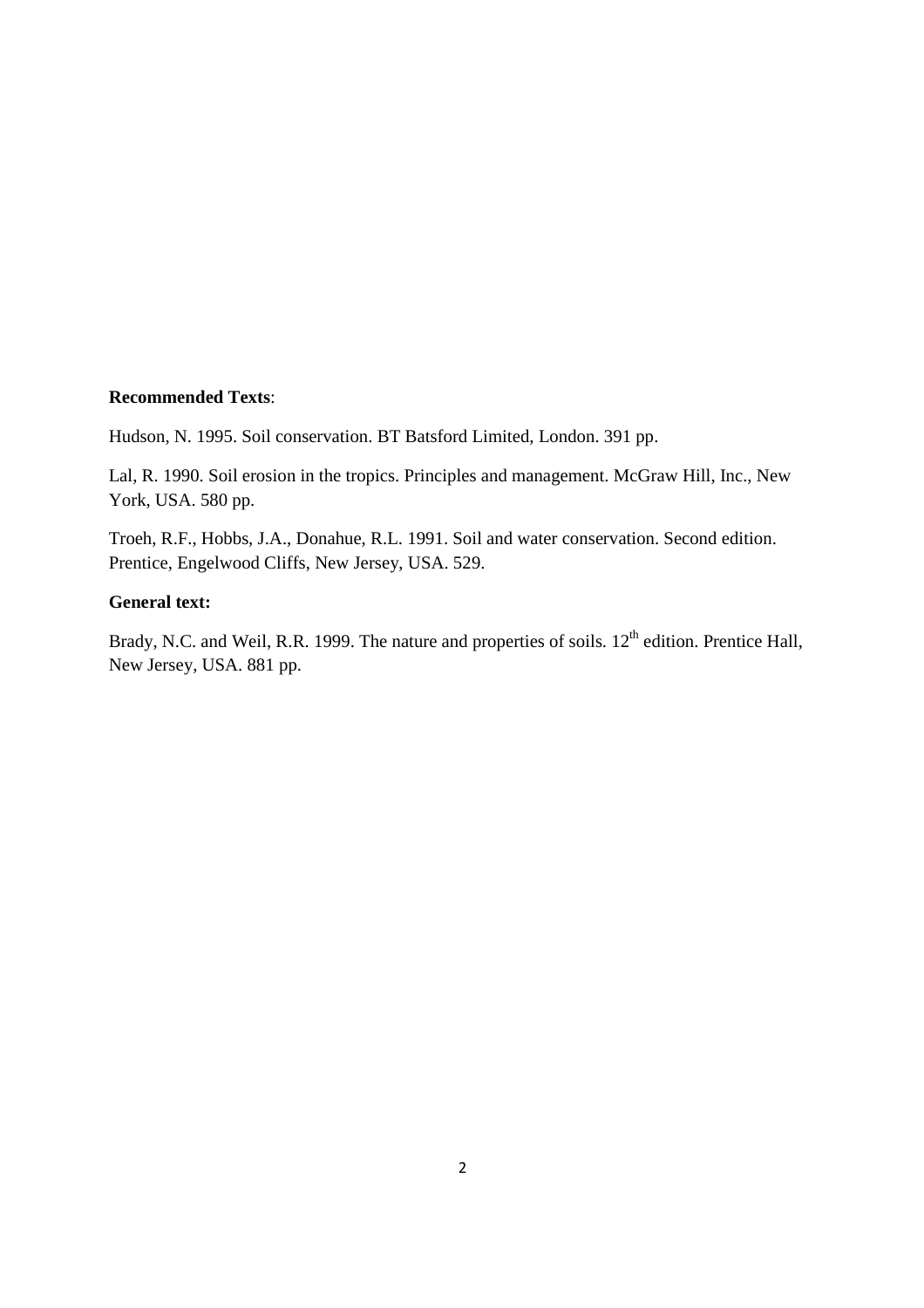#### **Recommended Texts**:

Hudson, N. 1995. Soil conservation. BT Batsford Limited, London. 391 pp.

Lal, R. 1990. Soil erosion in the tropics. Principles and management. McGraw Hill, Inc., New York, USA. 580 pp.

Troeh, R.F., Hobbs, J.A., Donahue, R.L. 1991. Soil and water conservation. Second edition. Prentice, Engelwood Cliffs, New Jersey, USA. 529.

#### **General text:**

Brady, N.C. and Weil, R.R. 1999. The nature and properties of soils. 12<sup>th</sup> edition. Prentice Hall, New Jersey, USA. 881 pp.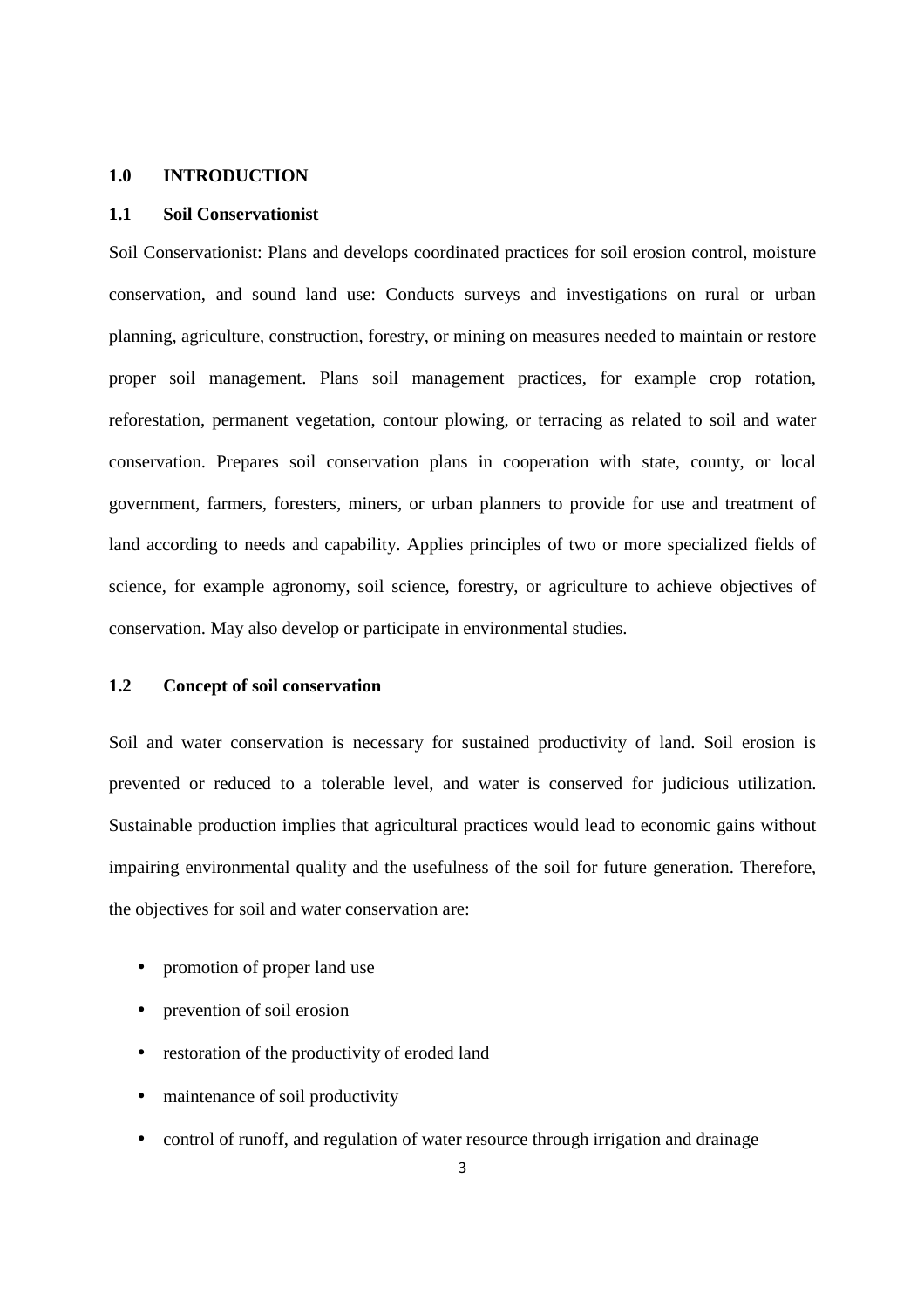#### **1.0 INTRODUCTION**

#### **1.1 Soil Conservationist**

Soil Conservationist: Plans and develops coordinated practices for soil erosion control, moisture conservation, and sound land use: Conducts surveys and investigations on rural or urban planning, agriculture, construction, forestry, or mining on measures needed to maintain or restore proper soil management. Plans soil management practices, for example crop rotation, reforestation, permanent vegetation, contour plowing, or terracing as related to soil and water conservation. Prepares soil conservation plans in cooperation with state, county, or local government, farmers, foresters, miners, or urban planners to provide for use and treatment of land according to needs and capability. Applies principles of two or more specialized fields of science, for example agronomy, soil science, forestry, or agriculture to achieve objectives of conservation. May also develop or participate in environmental studies.

#### **1.2 Concept of soil conservation**

Soil and water conservation is necessary for sustained productivity of land. Soil erosion is prevented or reduced to a tolerable level, and water is conserved for judicious utilization. Sustainable production implies that agricultural practices would lead to economic gains without impairing environmental quality and the usefulness of the soil for future generation. Therefore, the objectives for soil and water conservation are:

- promotion of proper land use
- prevention of soil erosion
- restoration of the productivity of eroded land
- maintenance of soil productivity
- control of runoff, and regulation of water resource through irrigation and drainage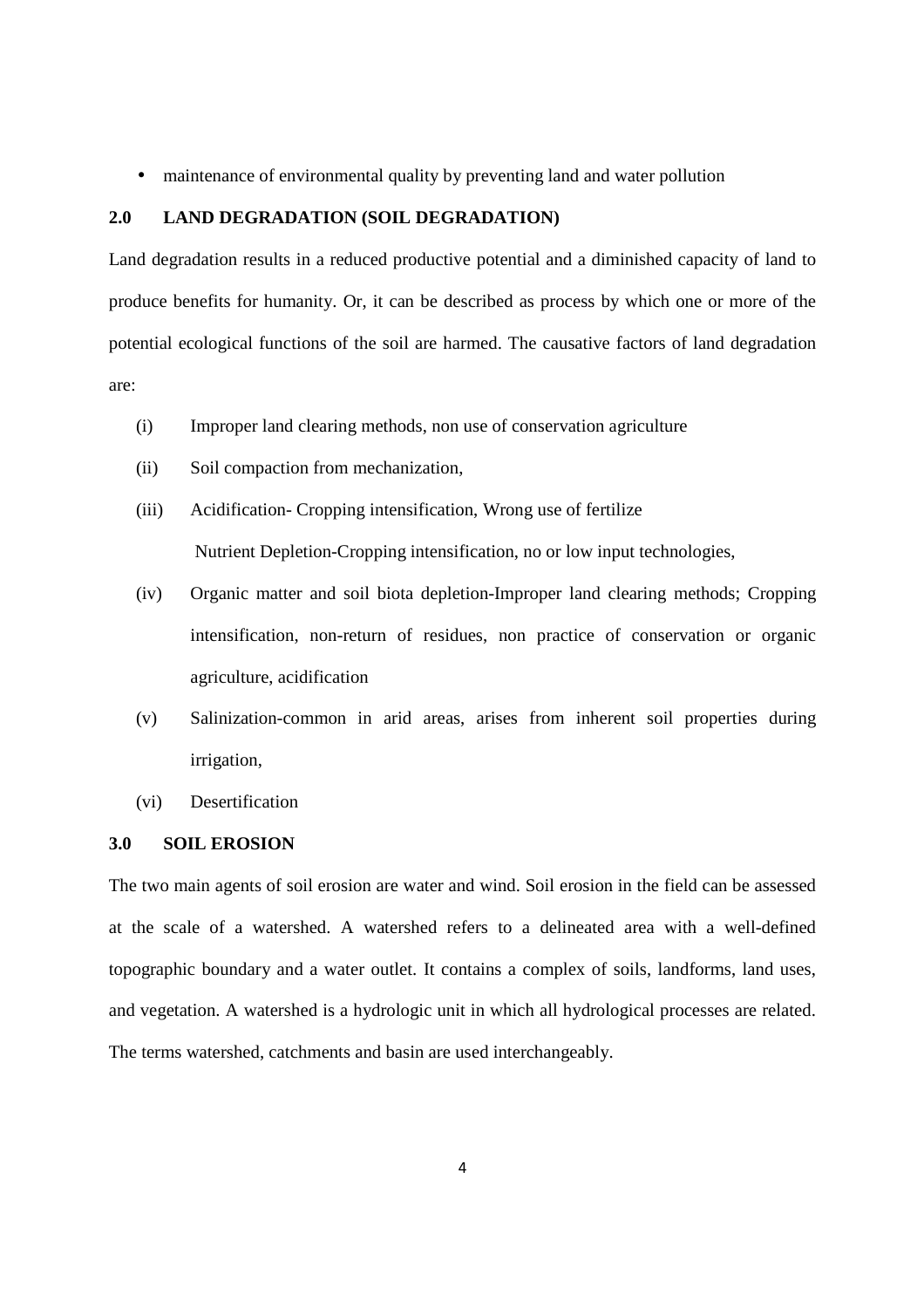• maintenance of environmental quality by preventing land and water pollution

#### **2.0 LAND DEGRADATION (SOIL DEGRADATION)**

Land degradation results in a reduced productive potential and a diminished capacity of land to produce benefits for humanity. Or, it can be described as process by which one or more of the potential ecological functions of the soil are harmed. The causative factors of land degradation are:

- (i) Improper land clearing methods, non use of conservation agriculture
- (ii) Soil compaction from mechanization,
- (iii) Acidification- Cropping intensification, Wrong use of fertilize Nutrient Depletion-Cropping intensification, no or low input technologies,
- (iv) Organic matter and soil biota depletion-Improper land clearing methods; Cropping intensification, non-return of residues, non practice of conservation or organic agriculture, acidification
- (v) Salinization-common in arid areas, arises from inherent soil properties during irrigation,
- (vi) Desertification

#### **3.0 SOIL EROSION**

The two main agents of soil erosion are water and wind. Soil erosion in the field can be assessed at the scale of a watershed. A watershed refers to a delineated area with a well-defined topographic boundary and a water outlet. It contains a complex of soils, landforms, land uses, and vegetation. A watershed is a hydrologic unit in which all hydrological processes are related. The terms watershed, catchments and basin are used interchangeably.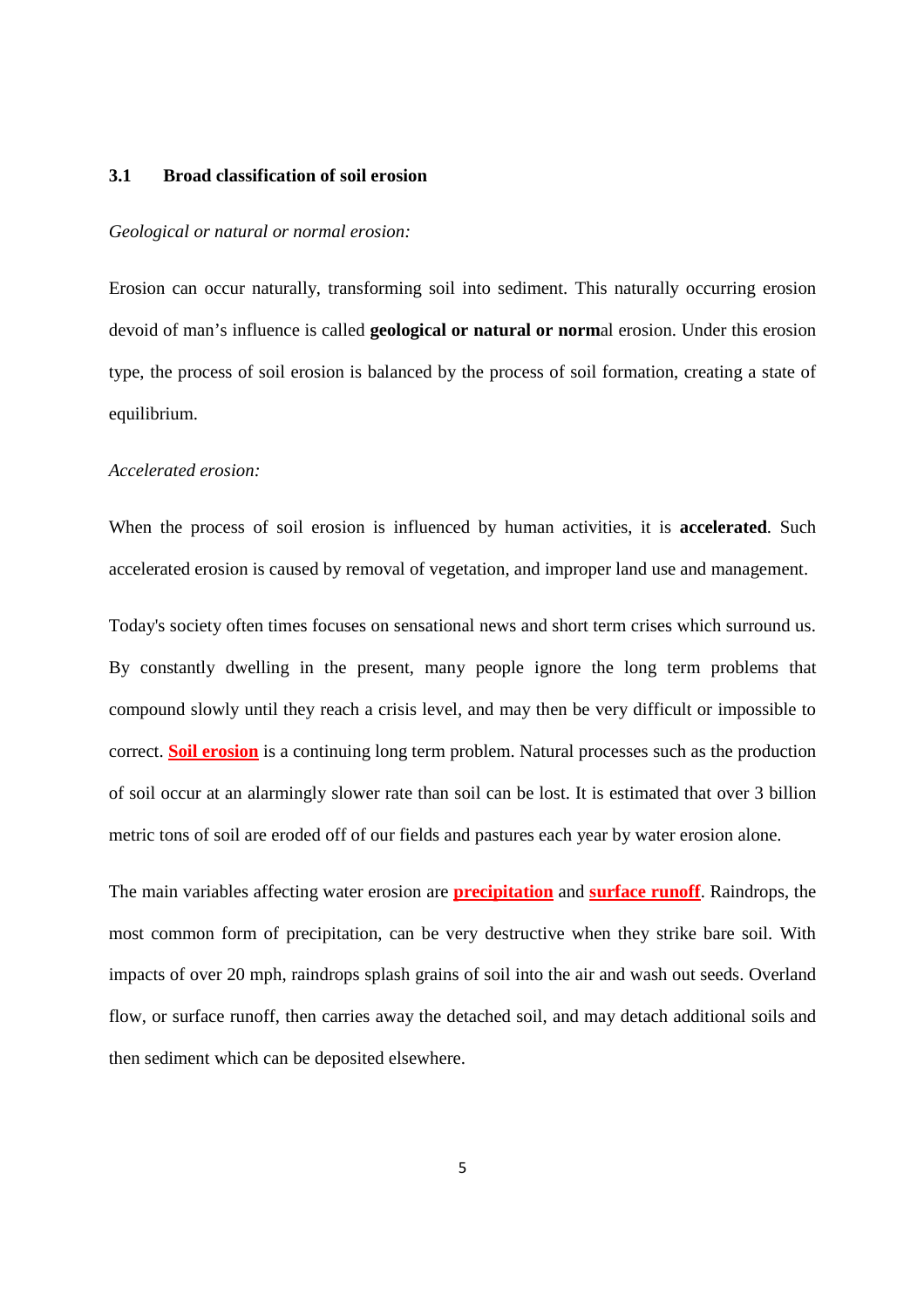#### **3.1 Broad classification of soil erosion**

#### *Geological or natural or normal erosion:*

Erosion can occur naturally, transforming soil into sediment. This naturally occurring erosion devoid of man's influence is called **geological or natural or norm**al erosion. Under this erosion type, the process of soil erosion is balanced by the process of soil formation, creating a state of equilibrium.

#### *Accelerated erosion:*

When the process of soil erosion is influenced by human activities, it is **accelerated**. Such accelerated erosion is caused by removal of vegetation, and improper land use and management.

Today's society often times focuses on sensational news and short term crises which surround us. By constantly dwelling in the present, many people ignore the long term problems that compound slowly until they reach a crisis level, and may then be very difficult or impossible to correct. **Soil erosion** is a continuing long term problem. Natural processes such as the production of soil occur at an alarmingly slower rate than soil can be lost. It is estimated that over 3 billion metric tons of soil are eroded off of our fields and pastures each year by water erosion alone.

The main variables affecting water erosion are **precipitation** and **surface runoff**. Raindrops, the most common form of precipitation, can be very destructive when they strike bare soil. With impacts of over 20 mph, raindrops splash grains of soil into the air and wash out seeds. Overland flow, or surface runoff, then carries away the detached soil, and may detach additional soils and then sediment which can be deposited elsewhere.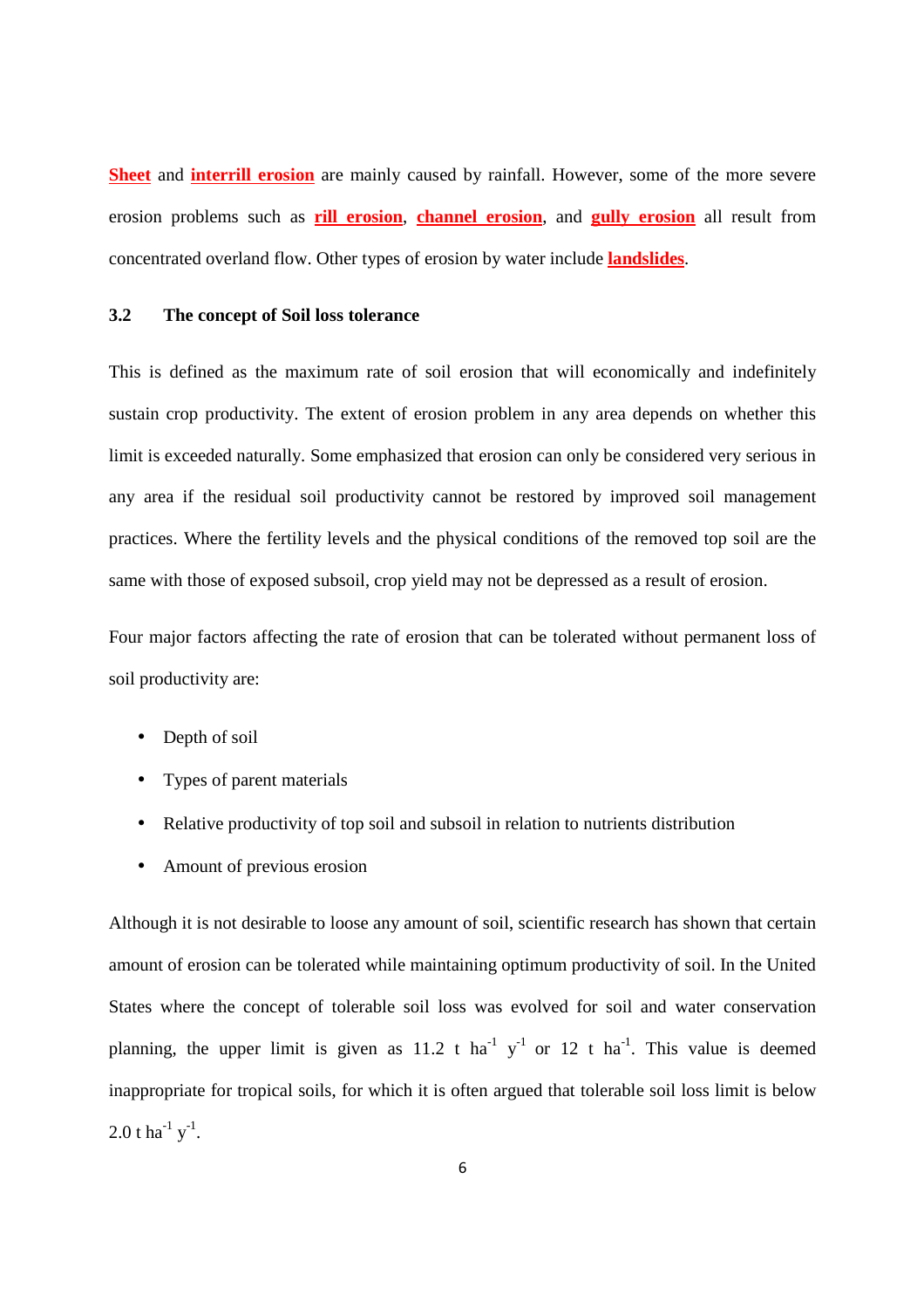**Sheet** and **interrill erosion** are mainly caused by rainfall. However, some of the more severe erosion problems such as **rill erosion**, **channel erosion**, and **gully erosion** all result from concentrated overland flow. Other types of erosion by water include **landslides**.

#### **3.2 The concept of Soil loss tolerance**

This is defined as the maximum rate of soil erosion that will economically and indefinitely sustain crop productivity. The extent of erosion problem in any area depends on whether this limit is exceeded naturally. Some emphasized that erosion can only be considered very serious in any area if the residual soil productivity cannot be restored by improved soil management practices. Where the fertility levels and the physical conditions of the removed top soil are the same with those of exposed subsoil, crop yield may not be depressed as a result of erosion.

Four major factors affecting the rate of erosion that can be tolerated without permanent loss of soil productivity are:

- Depth of soil
- Types of parent materials
- Relative productivity of top soil and subsoil in relation to nutrients distribution
- Amount of previous erosion

Although it is not desirable to loose any amount of soil, scientific research has shown that certain amount of erosion can be tolerated while maintaining optimum productivity of soil. In the United States where the concept of tolerable soil loss was evolved for soil and water conservation planning, the upper limit is given as 11.2 t ha<sup>-1</sup> y<sup>-1</sup> or 12 t ha<sup>-1</sup>. This value is deemed inappropriate for tropical soils, for which it is often argued that tolerable soil loss limit is below 2.0 t ha<sup>-1</sup> y<sup>-1</sup>.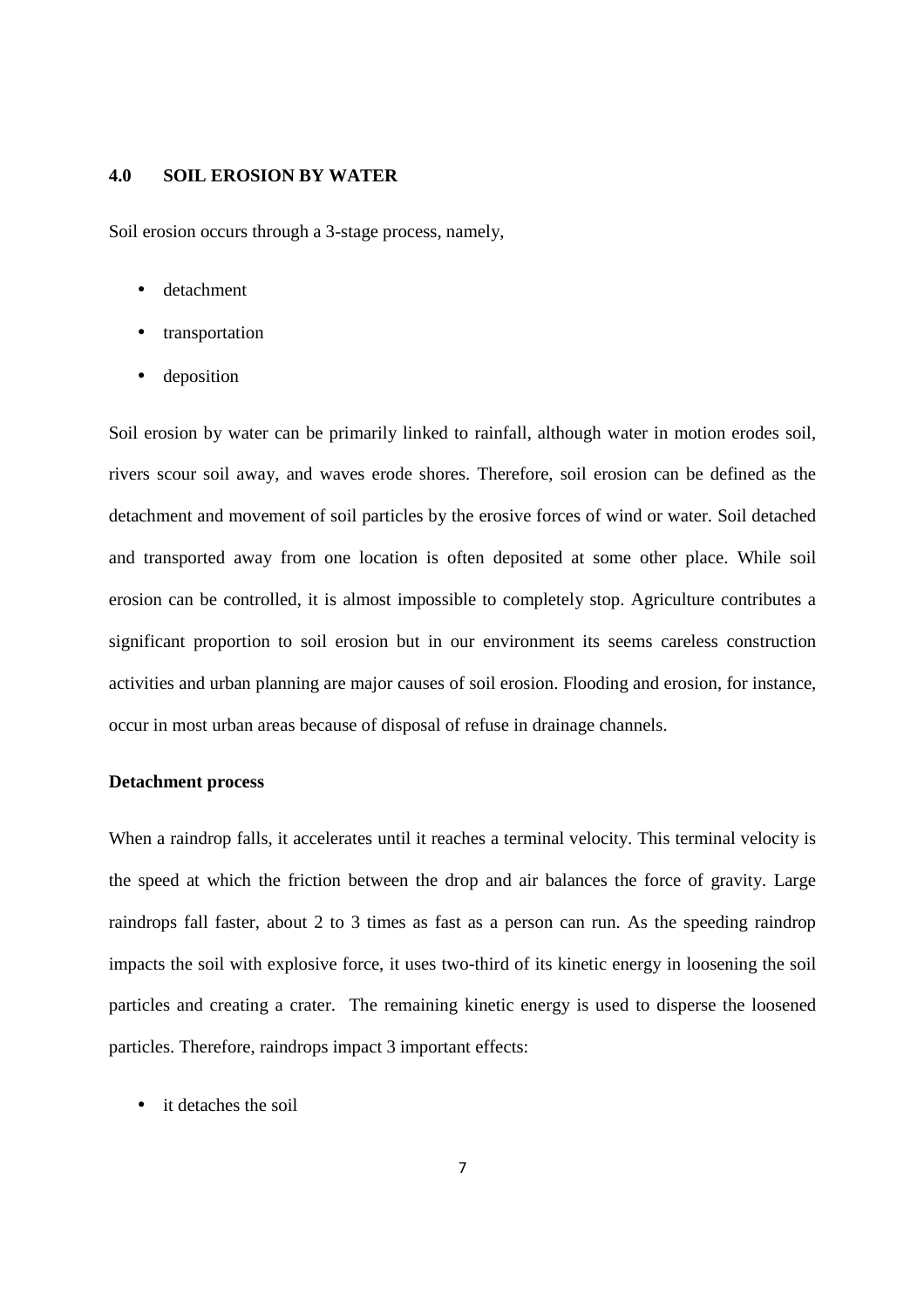#### **4.0 SOIL EROSION BY WATER**

Soil erosion occurs through a 3-stage process, namely,

- detachment
- transportation
- deposition

Soil erosion by water can be primarily linked to rainfall, although water in motion erodes soil, rivers scour soil away, and waves erode shores. Therefore, soil erosion can be defined as the detachment and movement of soil particles by the erosive forces of wind or water. Soil detached and transported away from one location is often deposited at some other place. While soil erosion can be controlled, it is almost impossible to completely stop. Agriculture contributes a significant proportion to soil erosion but in our environment its seems careless construction activities and urban planning are major causes of soil erosion. Flooding and erosion, for instance, occur in most urban areas because of disposal of refuse in drainage channels.

#### **Detachment process**

When a raindrop falls, it accelerates until it reaches a terminal velocity. This terminal velocity is the speed at which the friction between the drop and air balances the force of gravity. Large raindrops fall faster, about 2 to 3 times as fast as a person can run. As the speeding raindrop impacts the soil with explosive force, it uses two-third of its kinetic energy in loosening the soil particles and creating a crater. The remaining kinetic energy is used to disperse the loosened particles. Therefore, raindrops impact 3 important effects:

it detaches the soil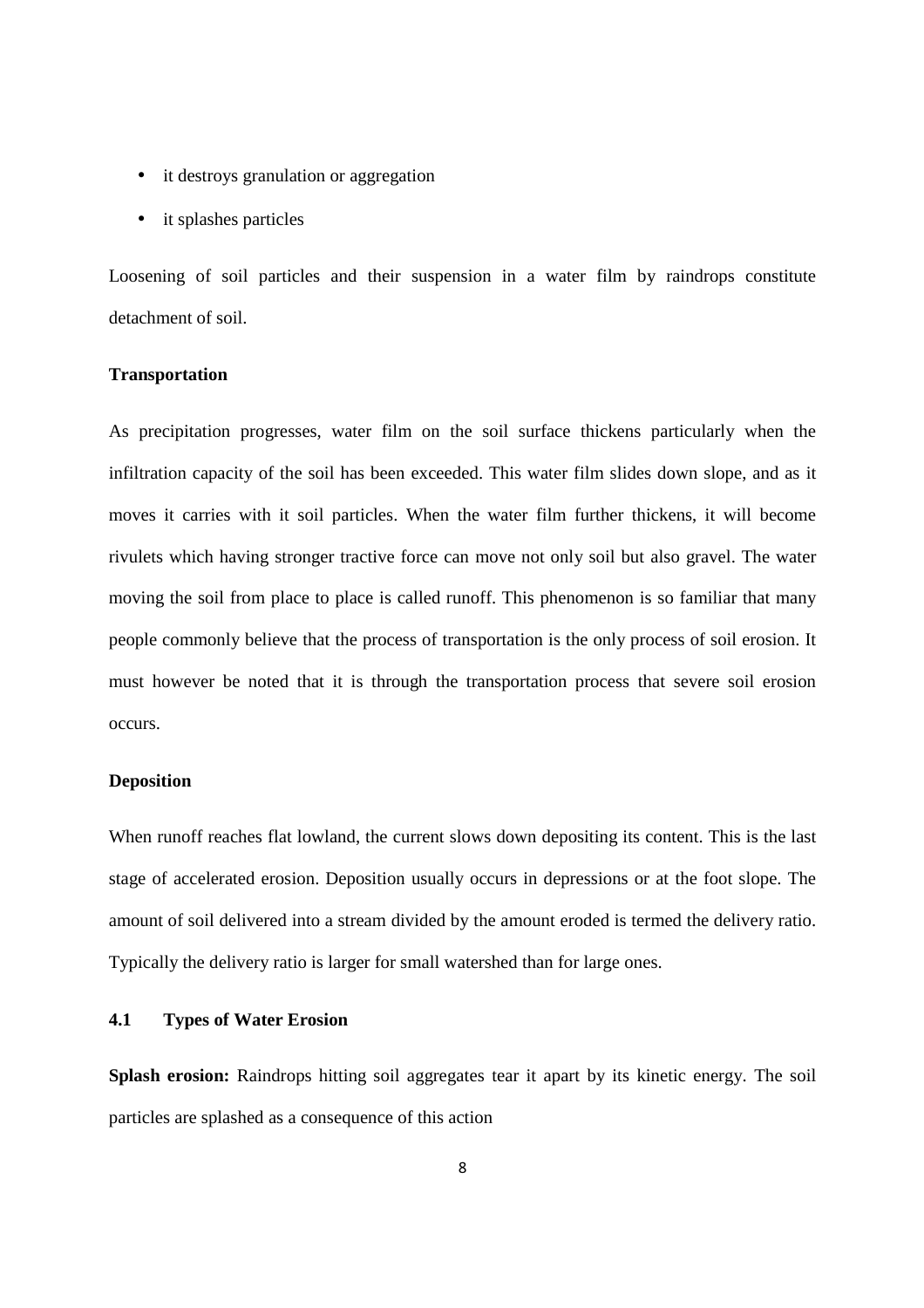- it destroys granulation or aggregation
- it splashes particles

Loosening of soil particles and their suspension in a water film by raindrops constitute detachment of soil.

#### **Transportation**

As precipitation progresses, water film on the soil surface thickens particularly when the infiltration capacity of the soil has been exceeded. This water film slides down slope, and as it moves it carries with it soil particles. When the water film further thickens, it will become rivulets which having stronger tractive force can move not only soil but also gravel. The water moving the soil from place to place is called runoff. This phenomenon is so familiar that many people commonly believe that the process of transportation is the only process of soil erosion. It must however be noted that it is through the transportation process that severe soil erosion occurs.

#### **Deposition**

When runoff reaches flat lowland, the current slows down depositing its content. This is the last stage of accelerated erosion. Deposition usually occurs in depressions or at the foot slope. The amount of soil delivered into a stream divided by the amount eroded is termed the delivery ratio. Typically the delivery ratio is larger for small watershed than for large ones.

#### **4.1 Types of Water Erosion**

**Splash erosion:** Raindrops hitting soil aggregates tear it apart by its kinetic energy. The soil particles are splashed as a consequence of this action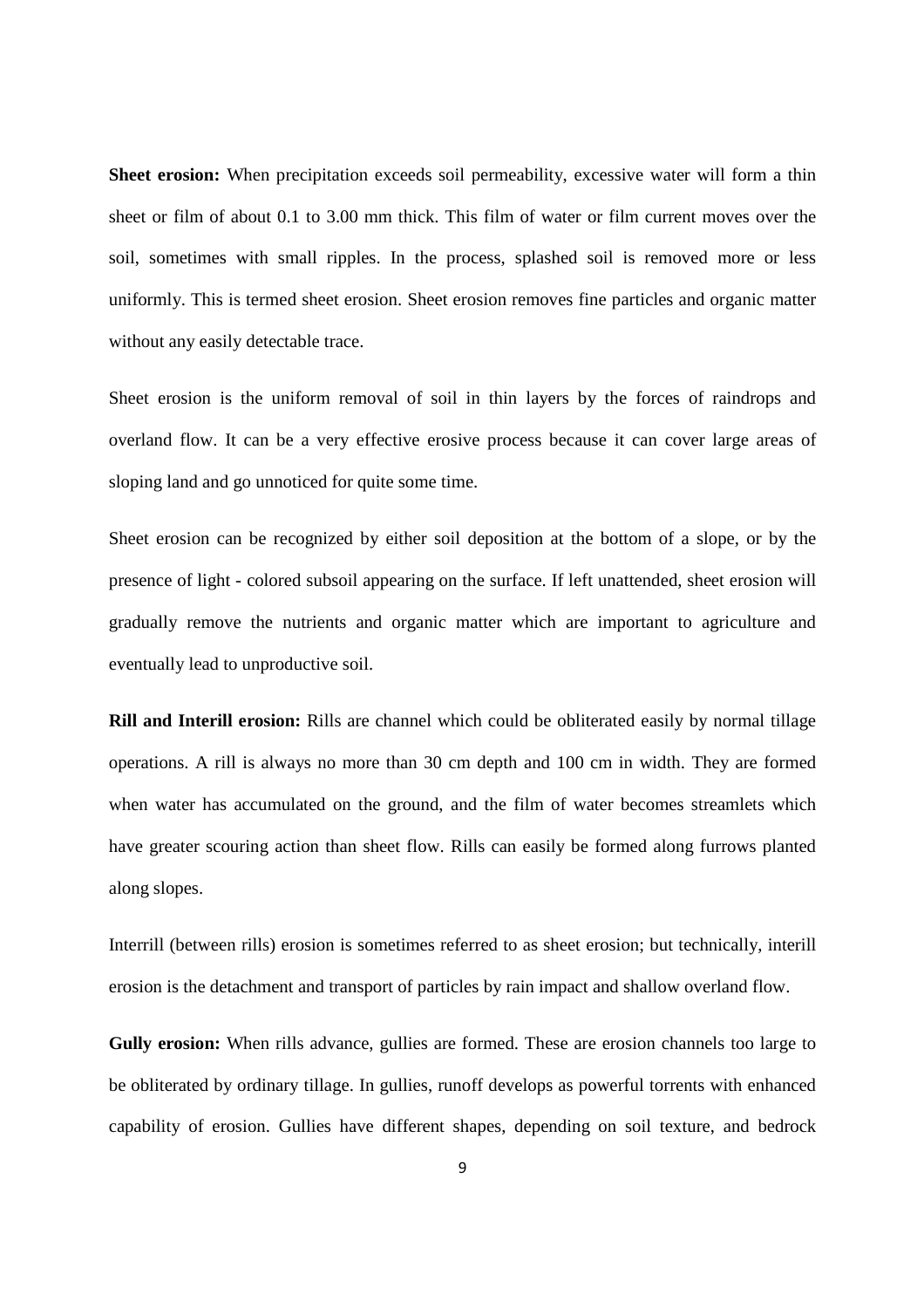**Sheet erosion:** When precipitation exceeds soil permeability, excessive water will form a thin sheet or film of about 0.1 to 3.00 mm thick. This film of water or film current moves over the soil, sometimes with small ripples. In the process, splashed soil is removed more or less uniformly. This is termed sheet erosion. Sheet erosion removes fine particles and organic matter without any easily detectable trace.

Sheet erosion is the uniform removal of soil in thin layers by the forces of raindrops and overland flow. It can be a very effective erosive process because it can cover large areas of sloping land and go unnoticed for quite some time.

Sheet erosion can be recognized by either soil deposition at the bottom of a slope, or by the presence of light - colored subsoil appearing on the surface. If left unattended, sheet erosion will gradually remove the nutrients and organic matter which are important to agriculture and eventually lead to unproductive soil.

**Rill and Interill erosion:** Rills are channel which could be obliterated easily by normal tillage operations. A rill is always no more than 30 cm depth and 100 cm in width. They are formed when water has accumulated on the ground, and the film of water becomes streamlets which have greater scouring action than sheet flow. Rills can easily be formed along furrows planted along slopes.

Interrill (between rills) erosion is sometimes referred to as sheet erosion; but technically, interill erosion is the detachment and transport of particles by rain impact and shallow overland flow.

**Gully erosion:** When rills advance, gullies are formed. These are erosion channels too large to be obliterated by ordinary tillage. In gullies, runoff develops as powerful torrents with enhanced capability of erosion. Gullies have different shapes, depending on soil texture, and bedrock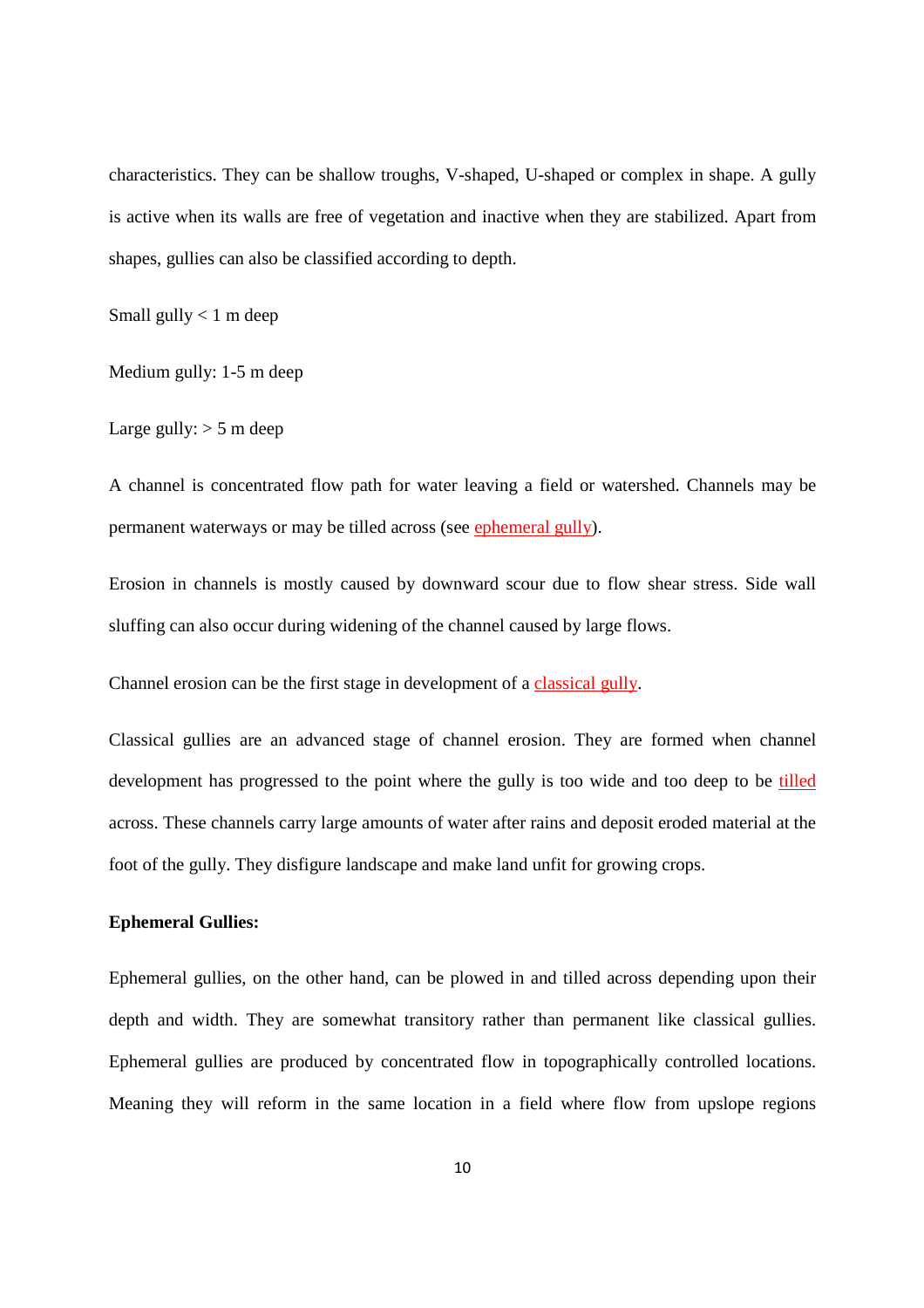characteristics. They can be shallow troughs, V-shaped, U-shaped or complex in shape. A gully is active when its walls are free of vegetation and inactive when they are stabilized. Apart from shapes, gullies can also be classified according to depth.

Small gully  $< 1$  m deep

Medium gully: 1-5 m deep

Large gully:  $> 5$  m deep

A channel is concentrated flow path for water leaving a field or watershed. Channels may be permanent waterways or may be tilled across (see ephemeral gully).

Erosion in channels is mostly caused by downward scour due to flow shear stress. Side wall sluffing can also occur during widening of the channel caused by large flows.

Channel erosion can be the first stage in development of a classical gully.

Classical gullies are an advanced stage of channel erosion. They are formed when channel development has progressed to the point where the gully is too wide and too deep to be tilled across. These channels carry large amounts of water after rains and deposit eroded material at the foot of the gully. They disfigure landscape and make land unfit for growing crops.

#### **Ephemeral Gullies:**

Ephemeral gullies, on the other hand, can be plowed in and tilled across depending upon their depth and width. They are somewhat transitory rather than permanent like classical gullies. Ephemeral gullies are produced by concentrated flow in topographically controlled locations. Meaning they will reform in the same location in a field where flow from upslope regions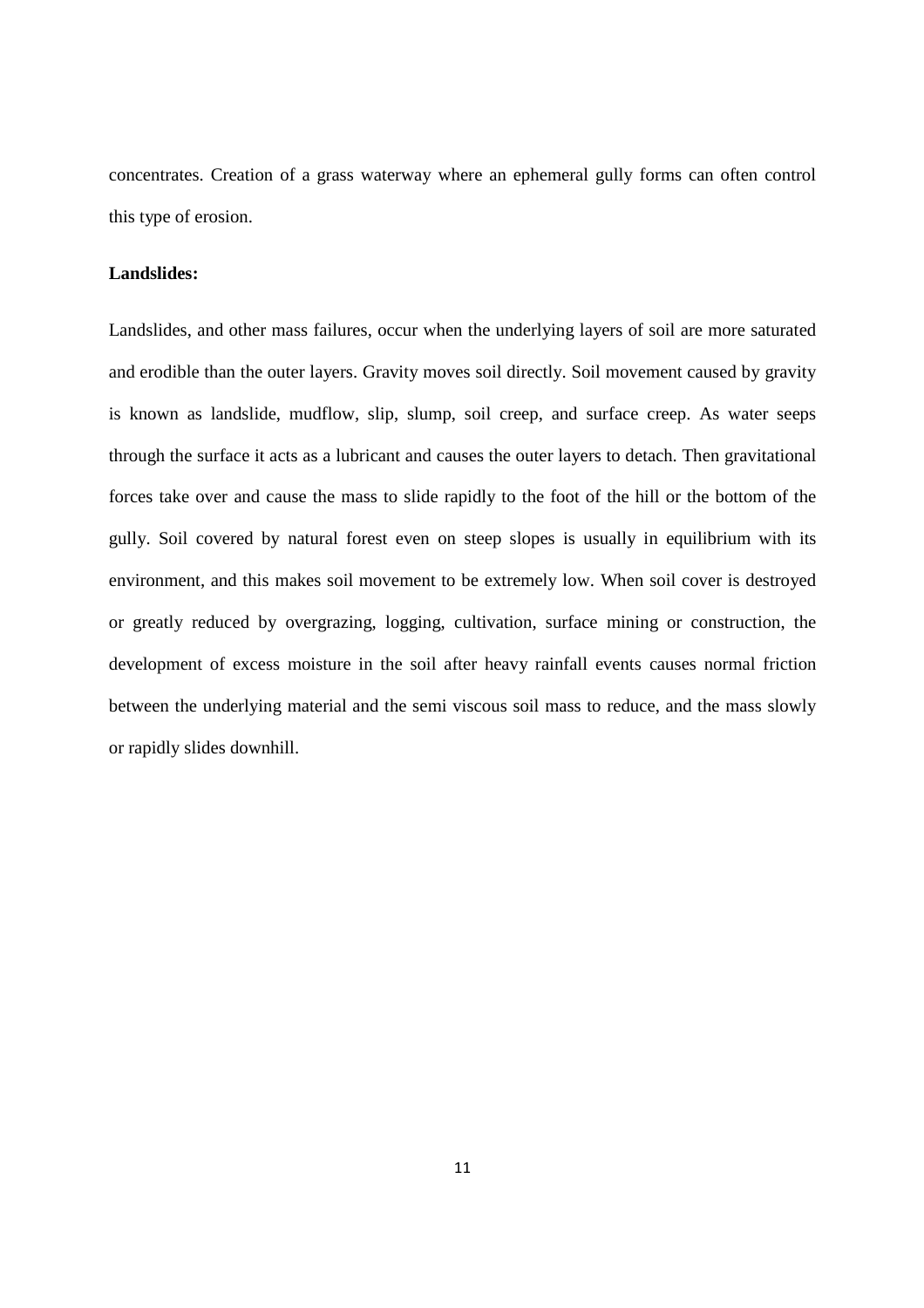concentrates. Creation of a grass waterway where an ephemeral gully forms can often control this type of erosion.

#### **Landslides:**

Landslides, and other mass failures, occur when the underlying layers of soil are more saturated and erodible than the outer layers. Gravity moves soil directly. Soil movement caused by gravity is known as landslide, mudflow, slip, slump, soil creep, and surface creep. As water seeps through the surface it acts as a lubricant and causes the outer layers to detach. Then gravitational forces take over and cause the mass to slide rapidly to the foot of the hill or the bottom of the gully. Soil covered by natural forest even on steep slopes is usually in equilibrium with its environment, and this makes soil movement to be extremely low. When soil cover is destroyed or greatly reduced by overgrazing, logging, cultivation, surface mining or construction, the development of excess moisture in the soil after heavy rainfall events causes normal friction between the underlying material and the semi viscous soil mass to reduce, and the mass slowly or rapidly slides downhill.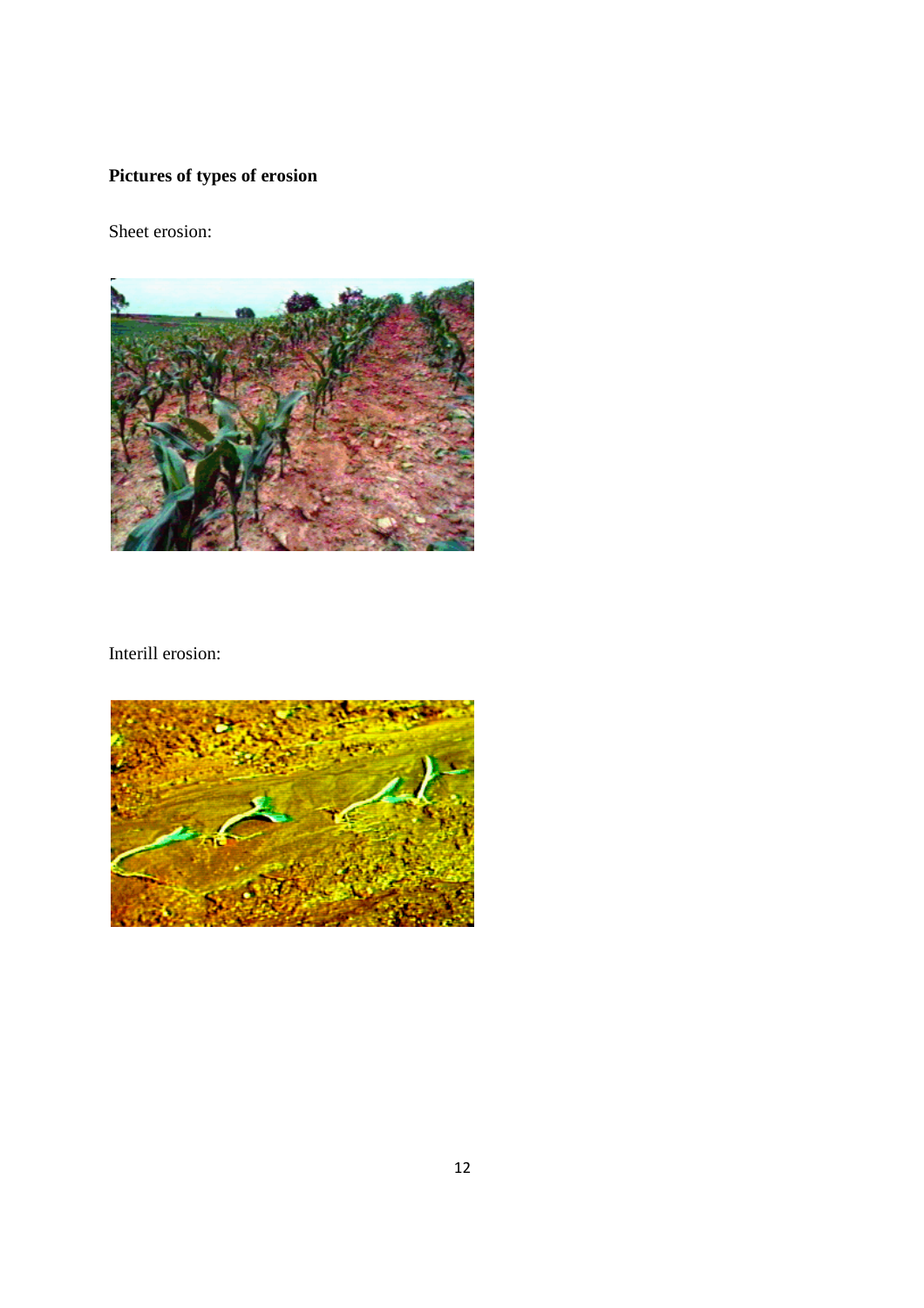# **Pictures of types of erosion**

Sheet erosion:



Interill erosion:

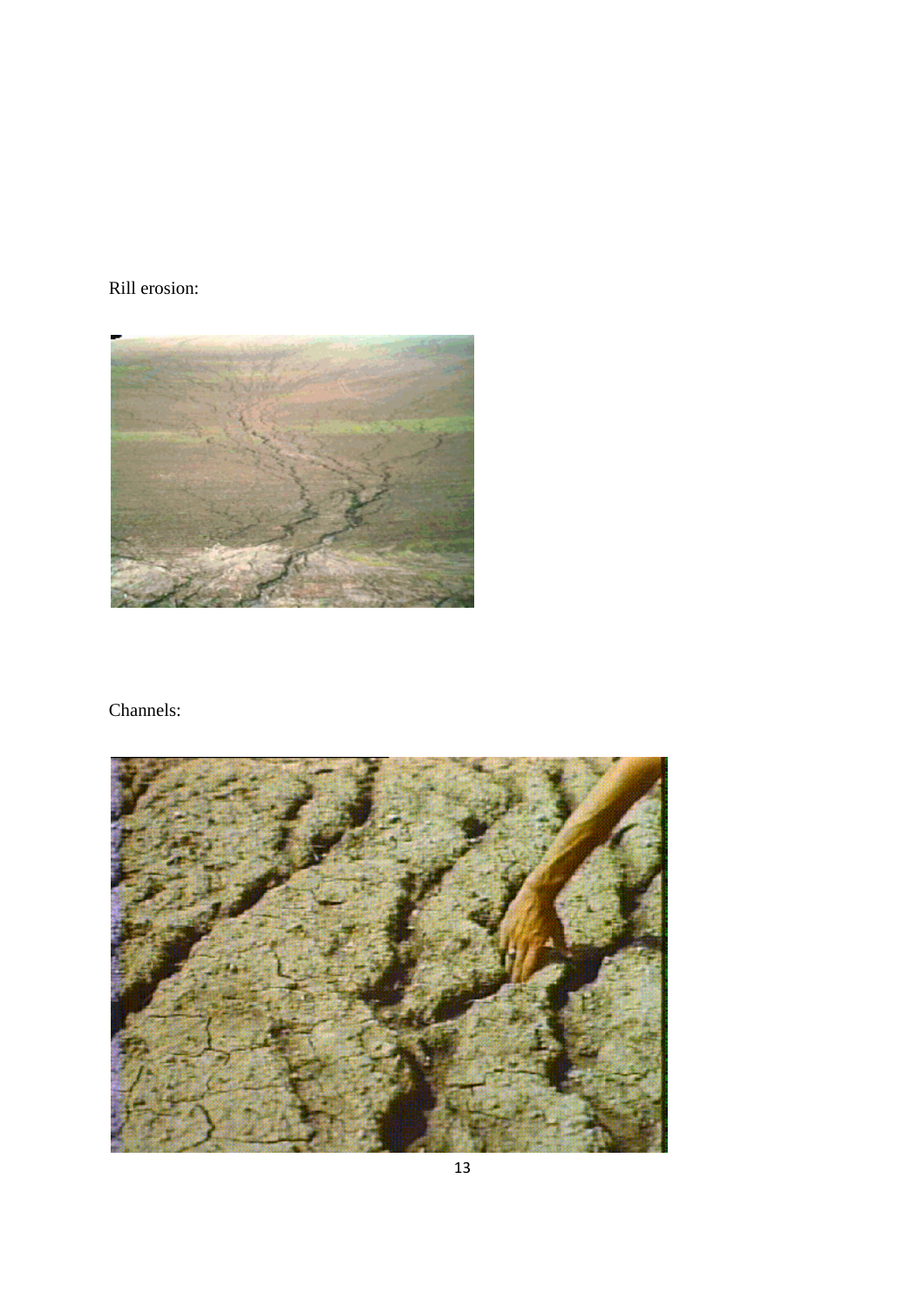### Rill erosion:



### Channels:

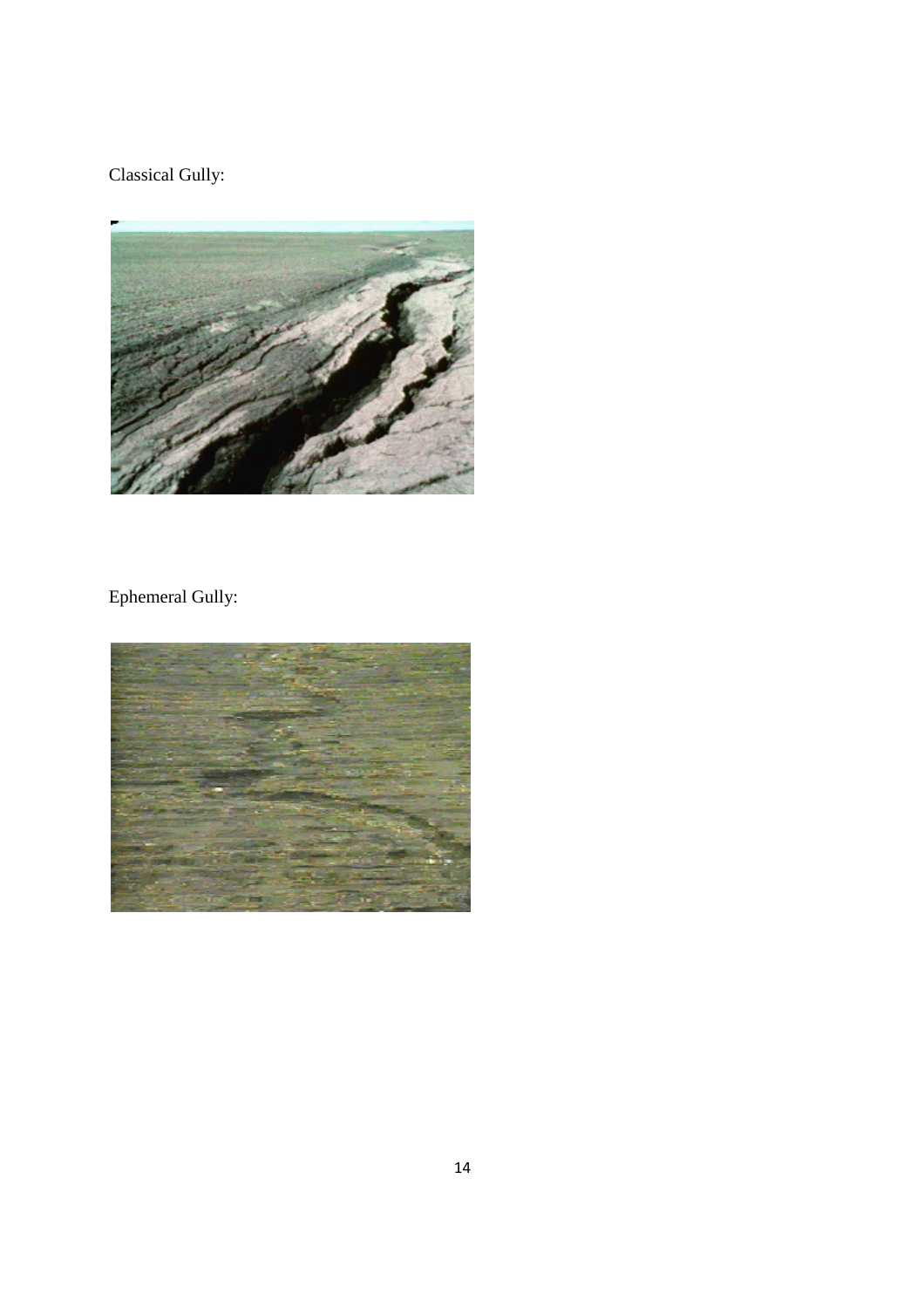### Classical Gully:



## Ephemeral Gully:

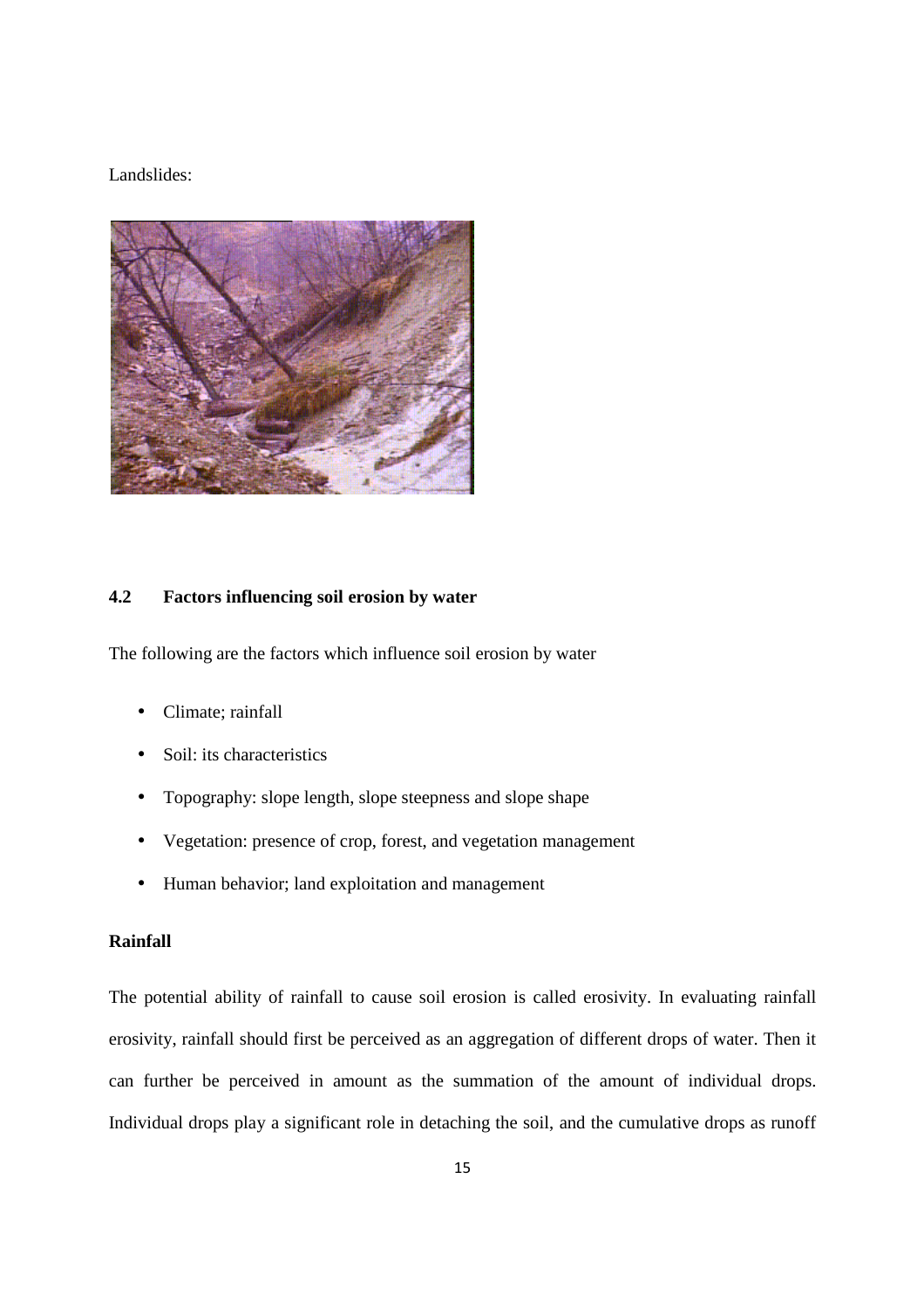#### Landslides:



#### **4.2 Factors influencing soil erosion by water**

The following are the factors which influence soil erosion by water

- Climate: rainfall
- Soil: its characteristics
- Topography: slope length, slope steepness and slope shape
- Vegetation: presence of crop, forest, and vegetation management
- Human behavior; land exploitation and management

#### **Rainfall**

The potential ability of rainfall to cause soil erosion is called erosivity. In evaluating rainfall erosivity, rainfall should first be perceived as an aggregation of different drops of water. Then it can further be perceived in amount as the summation of the amount of individual drops. Individual drops play a significant role in detaching the soil, and the cumulative drops as runoff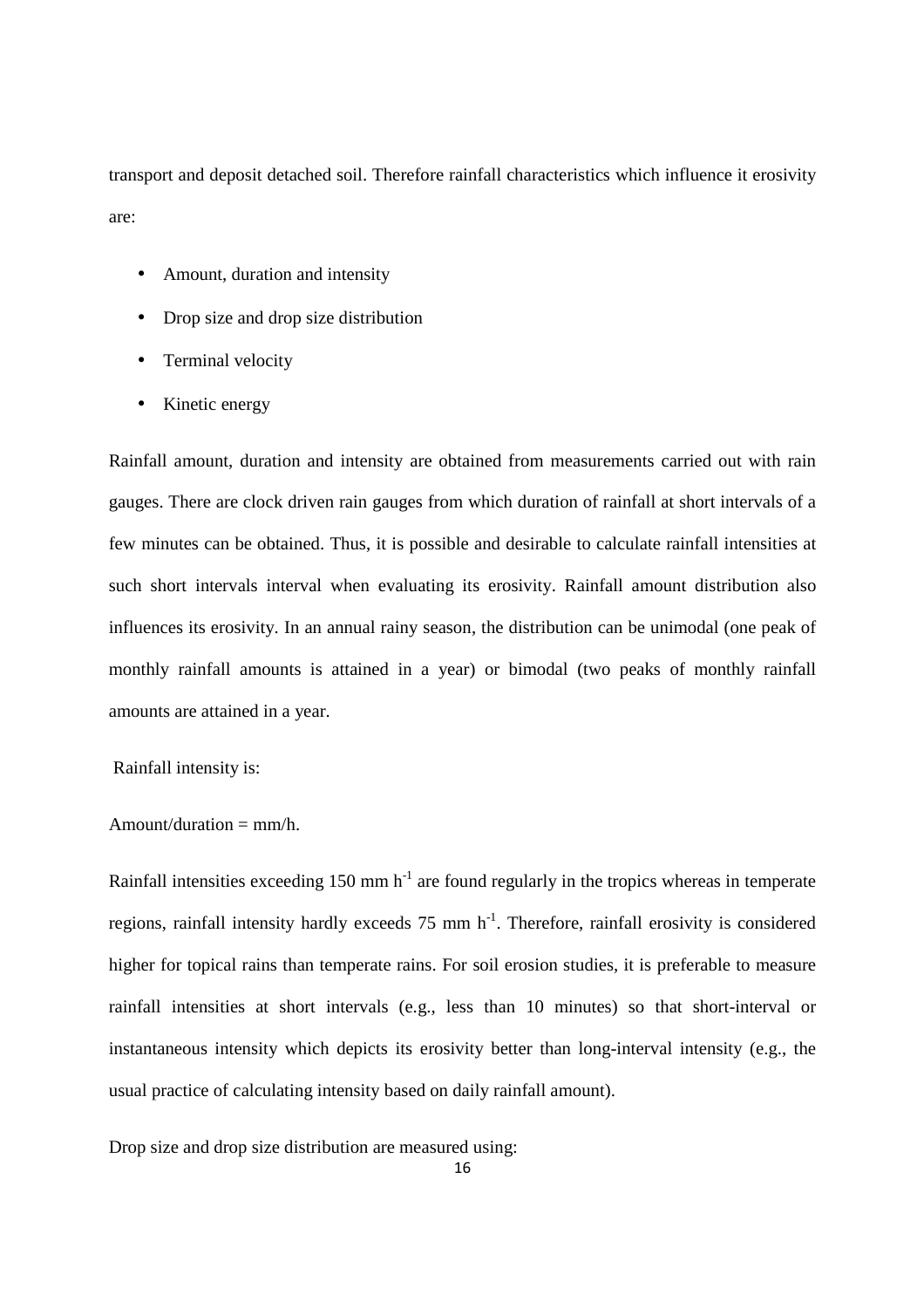transport and deposit detached soil. Therefore rainfall characteristics which influence it erosivity are:

- Amount, duration and intensity
- Drop size and drop size distribution
- Terminal velocity
- Kinetic energy

Rainfall amount, duration and intensity are obtained from measurements carried out with rain gauges. There are clock driven rain gauges from which duration of rainfall at short intervals of a few minutes can be obtained. Thus, it is possible and desirable to calculate rainfall intensities at such short intervals interval when evaluating its erosivity. Rainfall amount distribution also influences its erosivity. In an annual rainy season, the distribution can be unimodal (one peak of monthly rainfall amounts is attained in a year) or bimodal (two peaks of monthly rainfall amounts are attained in a year.

Rainfall intensity is:

#### Amount/duration  $=$  mm/h.

Rainfall intensities exceeding 150 mm  $h^{-1}$  are found regularly in the tropics whereas in temperate regions, rainfall intensity hardly exceeds 75 mm h<sup>-1</sup>. Therefore, rainfall erosivity is considered higher for topical rains than temperate rains. For soil erosion studies, it is preferable to measure rainfall intensities at short intervals (e.g., less than 10 minutes) so that short-interval or instantaneous intensity which depicts its erosivity better than long-interval intensity (e.g., the usual practice of calculating intensity based on daily rainfall amount).

Drop size and drop size distribution are measured using: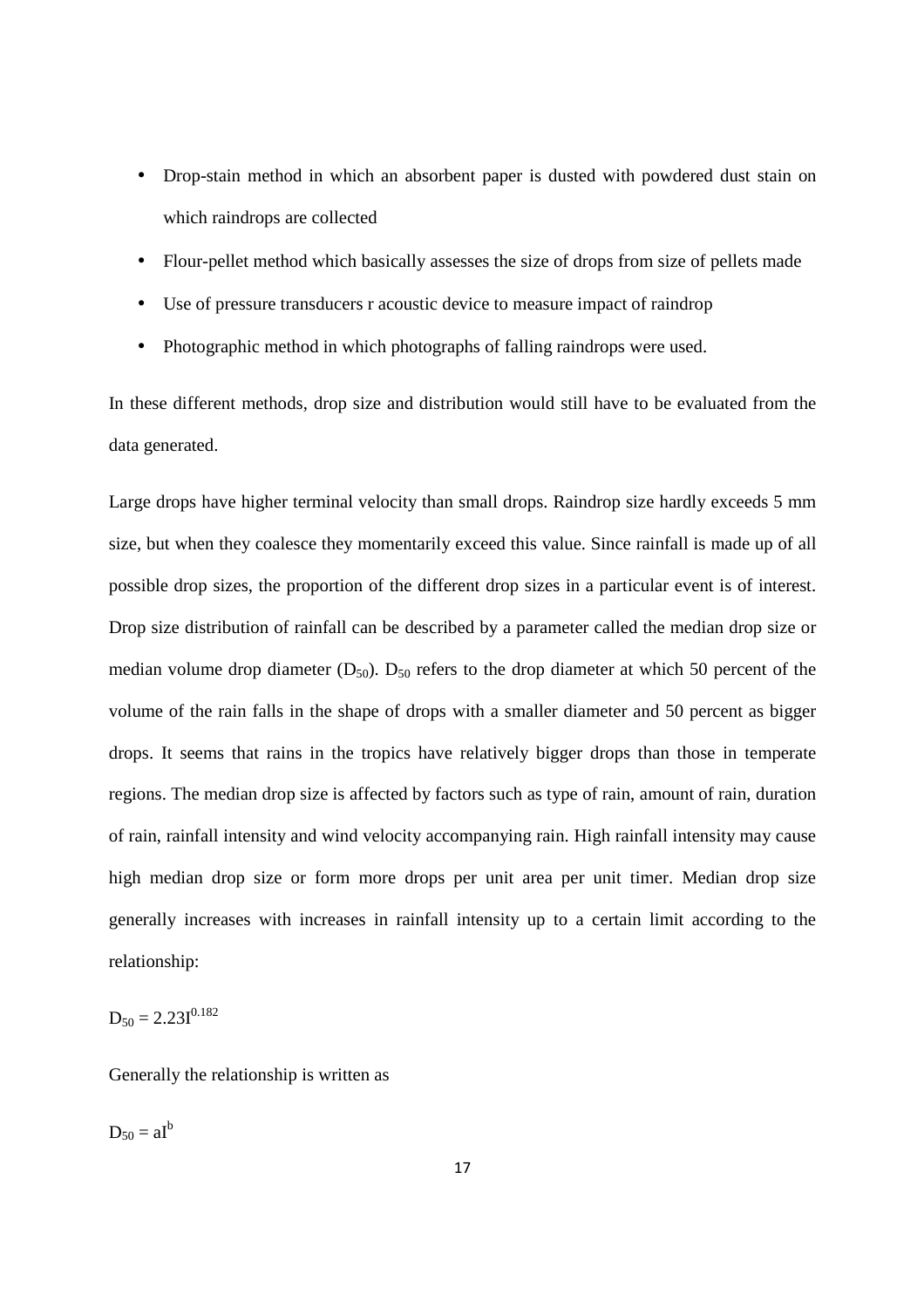- Drop-stain method in which an absorbent paper is dusted with powdered dust stain on which raindrops are collected
- Flour-pellet method which basically assesses the size of drops from size of pellets made
- Use of pressure transducers r acoustic device to measure impact of raindrop
- Photographic method in which photographs of falling raindrops were used.

In these different methods, drop size and distribution would still have to be evaluated from the data generated.

Large drops have higher terminal velocity than small drops. Raindrop size hardly exceeds 5 mm size, but when they coalesce they momentarily exceed this value. Since rainfall is made up of all possible drop sizes, the proportion of the different drop sizes in a particular event is of interest. Drop size distribution of rainfall can be described by a parameter called the median drop size or median volume drop diameter  $(D_{50})$ .  $D_{50}$  refers to the drop diameter at which 50 percent of the volume of the rain falls in the shape of drops with a smaller diameter and 50 percent as bigger drops. It seems that rains in the tropics have relatively bigger drops than those in temperate regions. The median drop size is affected by factors such as type of rain, amount of rain, duration of rain, rainfall intensity and wind velocity accompanying rain. High rainfall intensity may cause high median drop size or form more drops per unit area per unit timer. Median drop size generally increases with increases in rainfall intensity up to a certain limit according to the relationship:

 $D_{50} = 2.23I^{0.182}$ 

Generally the relationship is written as

 $D_{50} = aI^b$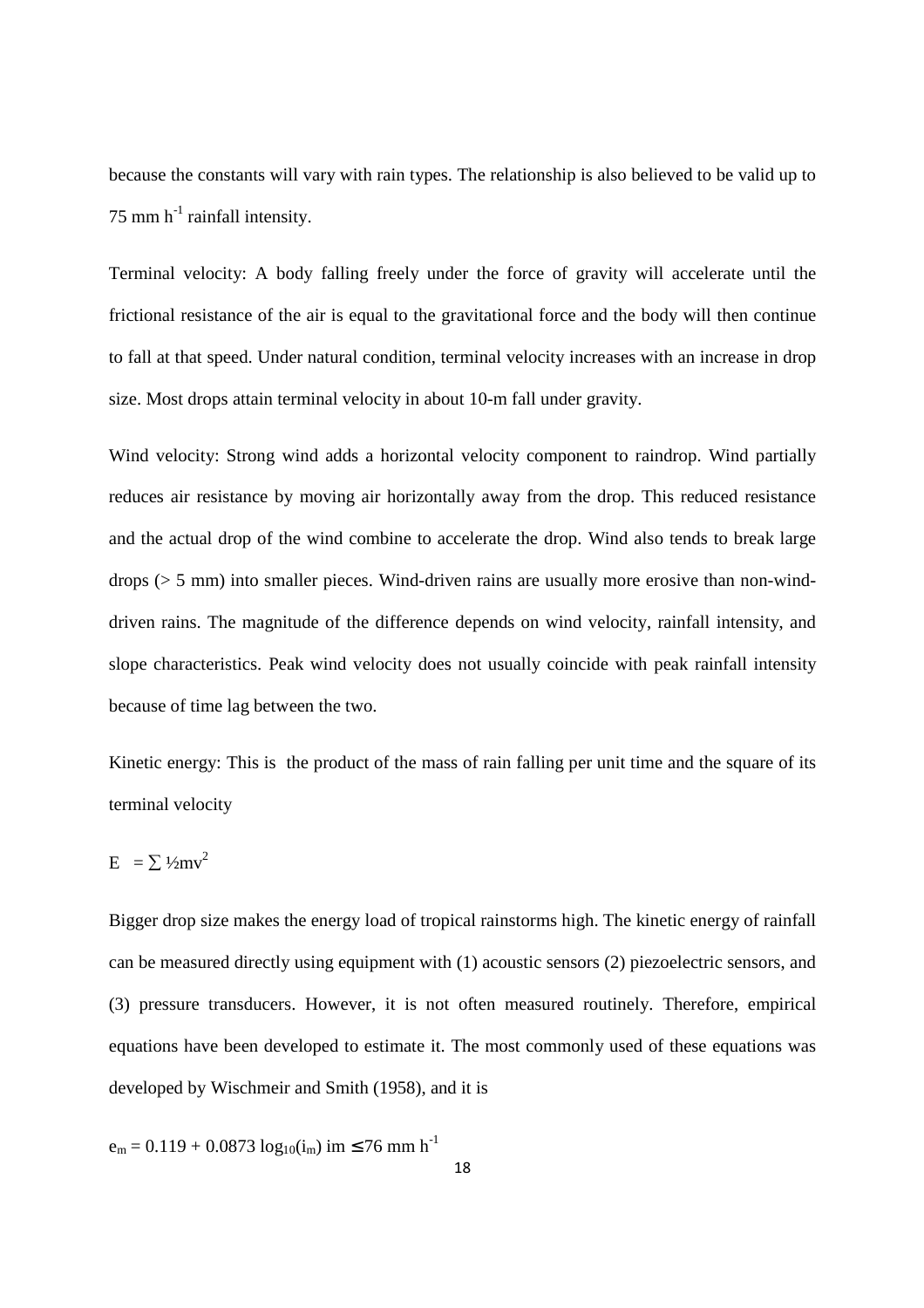because the constants will vary with rain types. The relationship is also believed to be valid up to 75 mm  $h^{-1}$  rainfall intensity.

Terminal velocity: A body falling freely under the force of gravity will accelerate until the frictional resistance of the air is equal to the gravitational force and the body will then continue to fall at that speed. Under natural condition, terminal velocity increases with an increase in drop size. Most drops attain terminal velocity in about 10-m fall under gravity.

Wind velocity: Strong wind adds a horizontal velocity component to raindrop. Wind partially reduces air resistance by moving air horizontally away from the drop. This reduced resistance and the actual drop of the wind combine to accelerate the drop. Wind also tends to break large drops  $(5 \text{ mm})$  into smaller pieces. Wind-driven rains are usually more erosive than non-winddriven rains. The magnitude of the difference depends on wind velocity, rainfall intensity, and slope characteristics. Peak wind velocity does not usually coincide with peak rainfall intensity because of time lag between the two.

Kinetic energy: This is the product of the mass of rain falling per unit time and the square of its terminal velocity

$$
E = \sum \frac{1}{2}mv^2
$$

Bigger drop size makes the energy load of tropical rainstorms high. The kinetic energy of rainfall can be measured directly using equipment with (1) acoustic sensors (2) piezoelectric sensors, and (3) pressure transducers. However, it is not often measured routinely. Therefore, empirical equations have been developed to estimate it. The most commonly used of these equations was developed by Wischmeir and Smith (1958), and it is

$$
e_m = 0.119 + 0.0873 \log_{10}(i_m) \text{ im } \leq 76 \text{ mm h}^{-1}
$$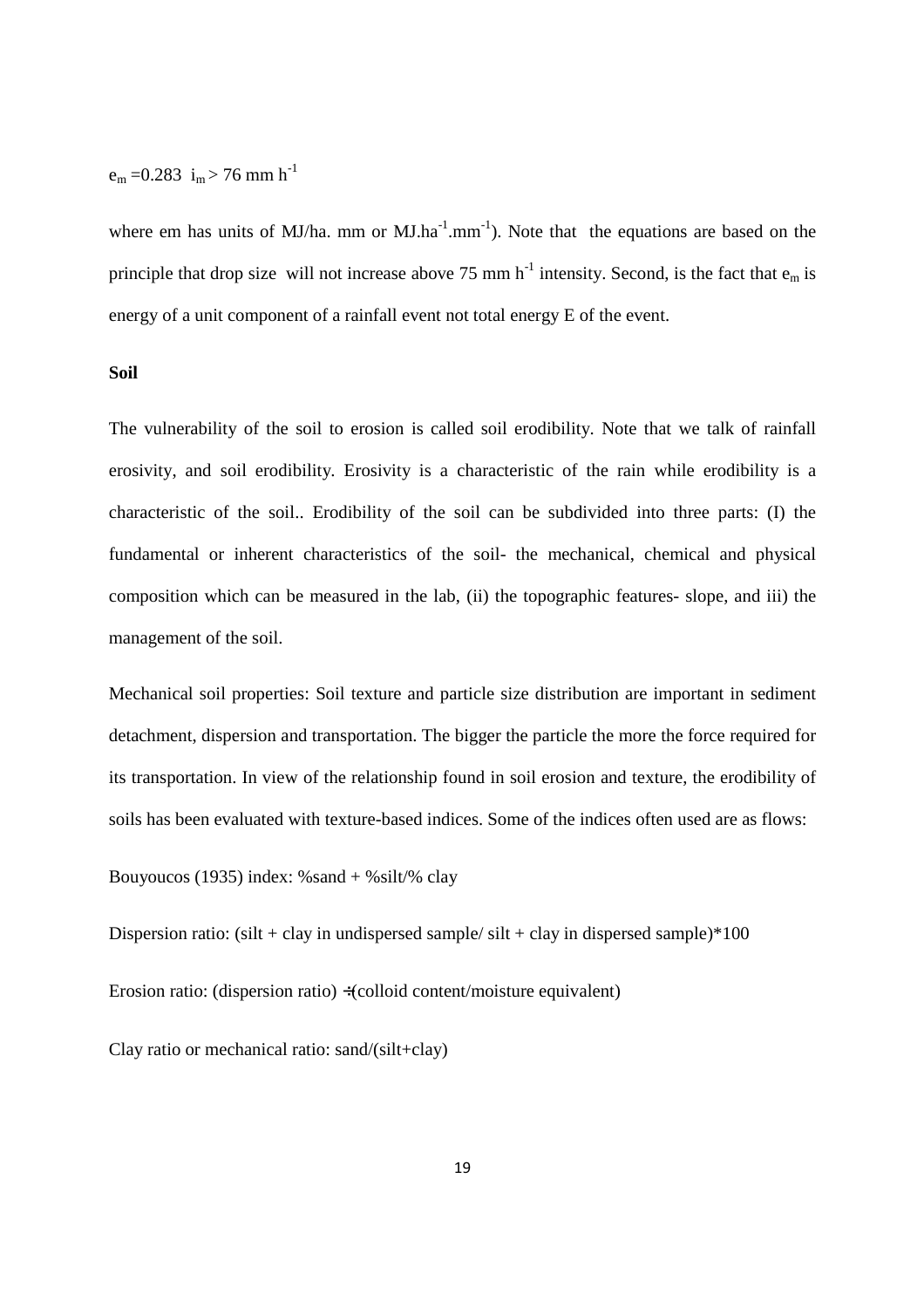### $e_m = 0.283$  i<sub>m</sub> > 76 mm h<sup>-1</sup>

where em has units of MJ/ha. mm or MJ.ha<sup>-1</sup>.mm<sup>-1</sup>). Note that the equations are based on the principle that drop size will not increase above 75 mm  $h^{-1}$  intensity. Second, is the fact that  $e_m$  is energy of a unit component of a rainfall event not total energy E of the event.

#### **Soil**

The vulnerability of the soil to erosion is called soil erodibility. Note that we talk of rainfall erosivity, and soil erodibility. Erosivity is a characteristic of the rain while erodibility is a characteristic of the soil.. Erodibility of the soil can be subdivided into three parts: (I) the fundamental or inherent characteristics of the soil- the mechanical, chemical and physical composition which can be measured in the lab, (ii) the topographic features- slope, and iii) the management of the soil.

Mechanical soil properties: Soil texture and particle size distribution are important in sediment detachment, dispersion and transportation. The bigger the particle the more the force required for its transportation. In view of the relationship found in soil erosion and texture, the erodibility of soils has been evaluated with texture-based indices. Some of the indices often used are as flows:

Bouyoucos (1935) index:  $%$ sand +  $%$ silt/ $%$  clay

Dispersion ratio: (silt + clay in undispersed sample/ silt + clay in dispersed sample)\*100

Erosion ratio: (dispersion ratio) ÷(colloid content/moisture equivalent)

Clay ratio or mechanical ratio: sand/(silt+clay)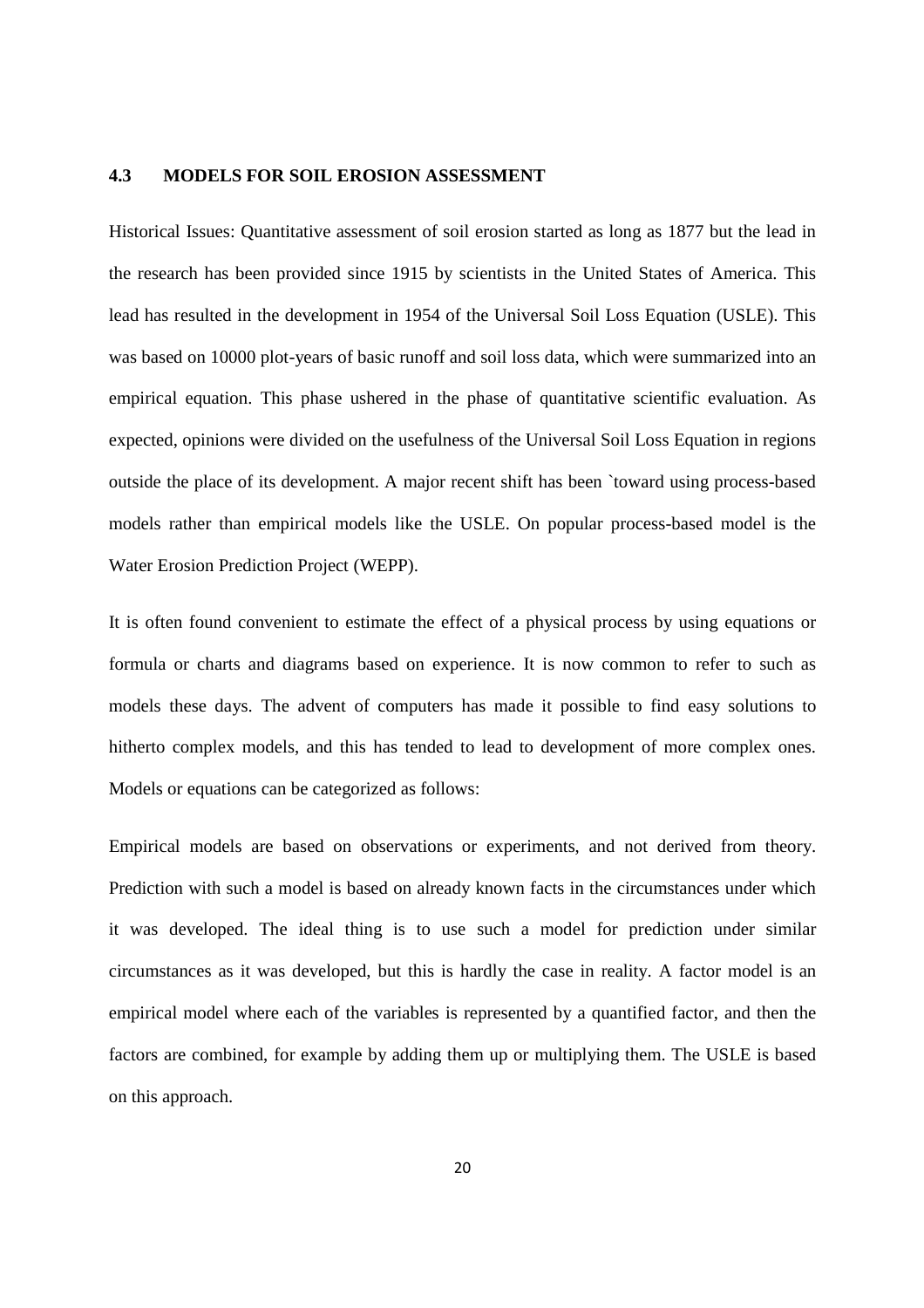#### **4.3 MODELS FOR SOIL EROSION ASSESSMENT**

Historical Issues: Quantitative assessment of soil erosion started as long as 1877 but the lead in the research has been provided since 1915 by scientists in the United States of America. This lead has resulted in the development in 1954 of the Universal Soil Loss Equation (USLE). This was based on 10000 plot-years of basic runoff and soil loss data, which were summarized into an empirical equation. This phase ushered in the phase of quantitative scientific evaluation. As expected, opinions were divided on the usefulness of the Universal Soil Loss Equation in regions outside the place of its development. A major recent shift has been `toward using process-based models rather than empirical models like the USLE. On popular process-based model is the Water Erosion Prediction Project (WEPP).

It is often found convenient to estimate the effect of a physical process by using equations or formula or charts and diagrams based on experience. It is now common to refer to such as models these days. The advent of computers has made it possible to find easy solutions to hitherto complex models, and this has tended to lead to development of more complex ones. Models or equations can be categorized as follows:

Empirical models are based on observations or experiments, and not derived from theory. Prediction with such a model is based on already known facts in the circumstances under which it was developed. The ideal thing is to use such a model for prediction under similar circumstances as it was developed, but this is hardly the case in reality. A factor model is an empirical model where each of the variables is represented by a quantified factor, and then the factors are combined, for example by adding them up or multiplying them. The USLE is based on this approach.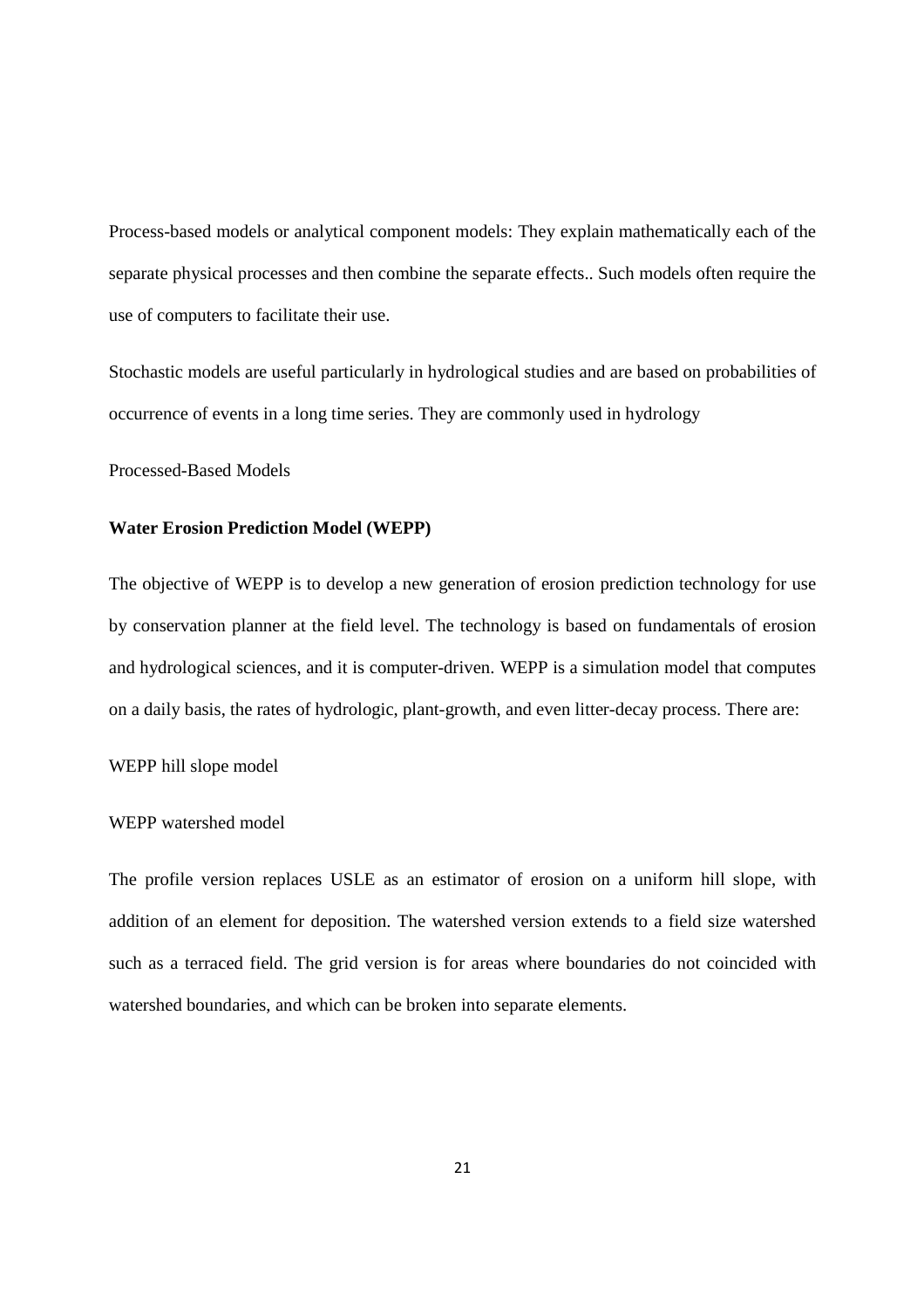Process-based models or analytical component models: They explain mathematically each of the separate physical processes and then combine the separate effects.. Such models often require the use of computers to facilitate their use.

Stochastic models are useful particularly in hydrological studies and are based on probabilities of occurrence of events in a long time series. They are commonly used in hydrology

Processed-Based Models

#### **Water Erosion Prediction Model (WEPP)**

The objective of WEPP is to develop a new generation of erosion prediction technology for use by conservation planner at the field level. The technology is based on fundamentals of erosion and hydrological sciences, and it is computer-driven. WEPP is a simulation model that computes on a daily basis, the rates of hydrologic, plant-growth, and even litter-decay process. There are:

#### WEPP hill slope model

#### WEPP watershed model

The profile version replaces USLE as an estimator of erosion on a uniform hill slope, with addition of an element for deposition. The watershed version extends to a field size watershed such as a terraced field. The grid version is for areas where boundaries do not coincided with watershed boundaries, and which can be broken into separate elements.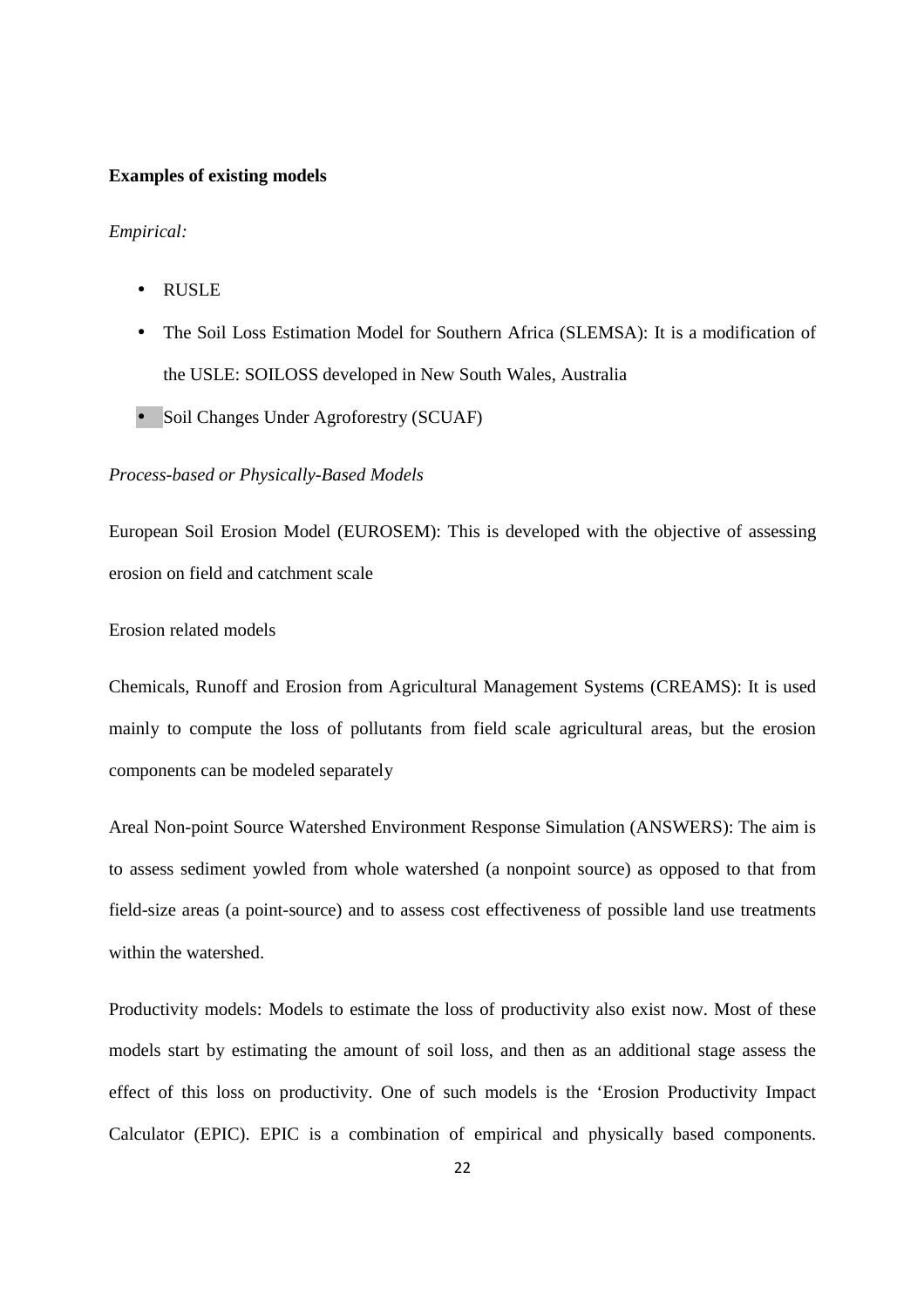#### **Examples of existing models**

*Empirical:* 

- RUSLE
- The Soil Loss Estimation Model for Southern Africa (SLEMSA): It is a modification of the USLE: SOILOSS developed in New South Wales, Australia
- Soil Changes Under Agroforestry (SCUAF)

#### *Process-based or Physically-Based Models*

European Soil Erosion Model (EUROSEM): This is developed with the objective of assessing erosion on field and catchment scale

Erosion related models

Chemicals, Runoff and Erosion from Agricultural Management Systems (CREAMS): It is used mainly to compute the loss of pollutants from field scale agricultural areas, but the erosion components can be modeled separately

Areal Non-point Source Watershed Environment Response Simulation (ANSWERS): The aim is to assess sediment yowled from whole watershed (a nonpoint source) as opposed to that from field-size areas (a point-source) and to assess cost effectiveness of possible land use treatments within the watershed.

Productivity models: Models to estimate the loss of productivity also exist now. Most of these models start by estimating the amount of soil loss, and then as an additional stage assess the effect of this loss on productivity. One of such models is the 'Erosion Productivity Impact Calculator (EPIC). EPIC is a combination of empirical and physically based components.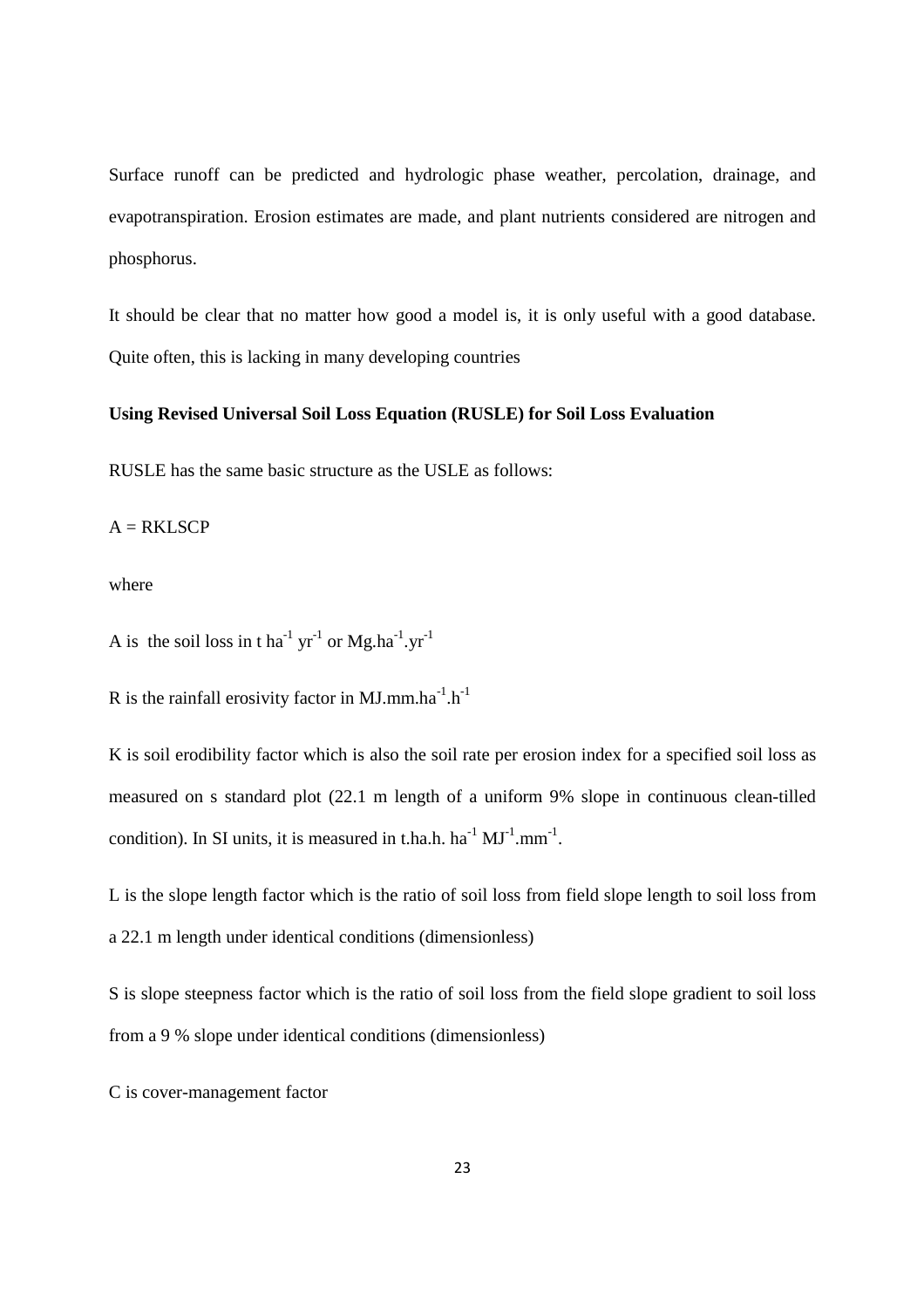Surface runoff can be predicted and hydrologic phase weather, percolation, drainage, and evapotranspiration. Erosion estimates are made, and plant nutrients considered are nitrogen and phosphorus.

It should be clear that no matter how good a model is, it is only useful with a good database. Quite often, this is lacking in many developing countries

#### **Using Revised Universal Soil Loss Equation (RUSLE) for Soil Loss Evaluation**

RUSLE has the same basic structure as the USLE as follows:

 $A = RKLSCP$ 

where

A is the soil loss in t ha<sup>-1</sup> yr<sup>-1</sup> or Mg.ha<sup>-1</sup>.yr<sup>-1</sup>

R is the rainfall erosivity factor in MJ.mm.ha<sup>-1</sup>.h<sup>-1</sup>

K is soil erodibility factor which is also the soil rate per erosion index for a specified soil loss as measured on s standard plot (22.1 m length of a uniform 9% slope in continuous clean-tilled condition). In SI units, it is measured in t.ha.h.  $ha^{-1} MJ^{-1} .mm^{-1}$ .

L is the slope length factor which is the ratio of soil loss from field slope length to soil loss from a 22.1 m length under identical conditions (dimensionless)

S is slope steepness factor which is the ratio of soil loss from the field slope gradient to soil loss from a 9 % slope under identical conditions (dimensionless)

C is cover-management factor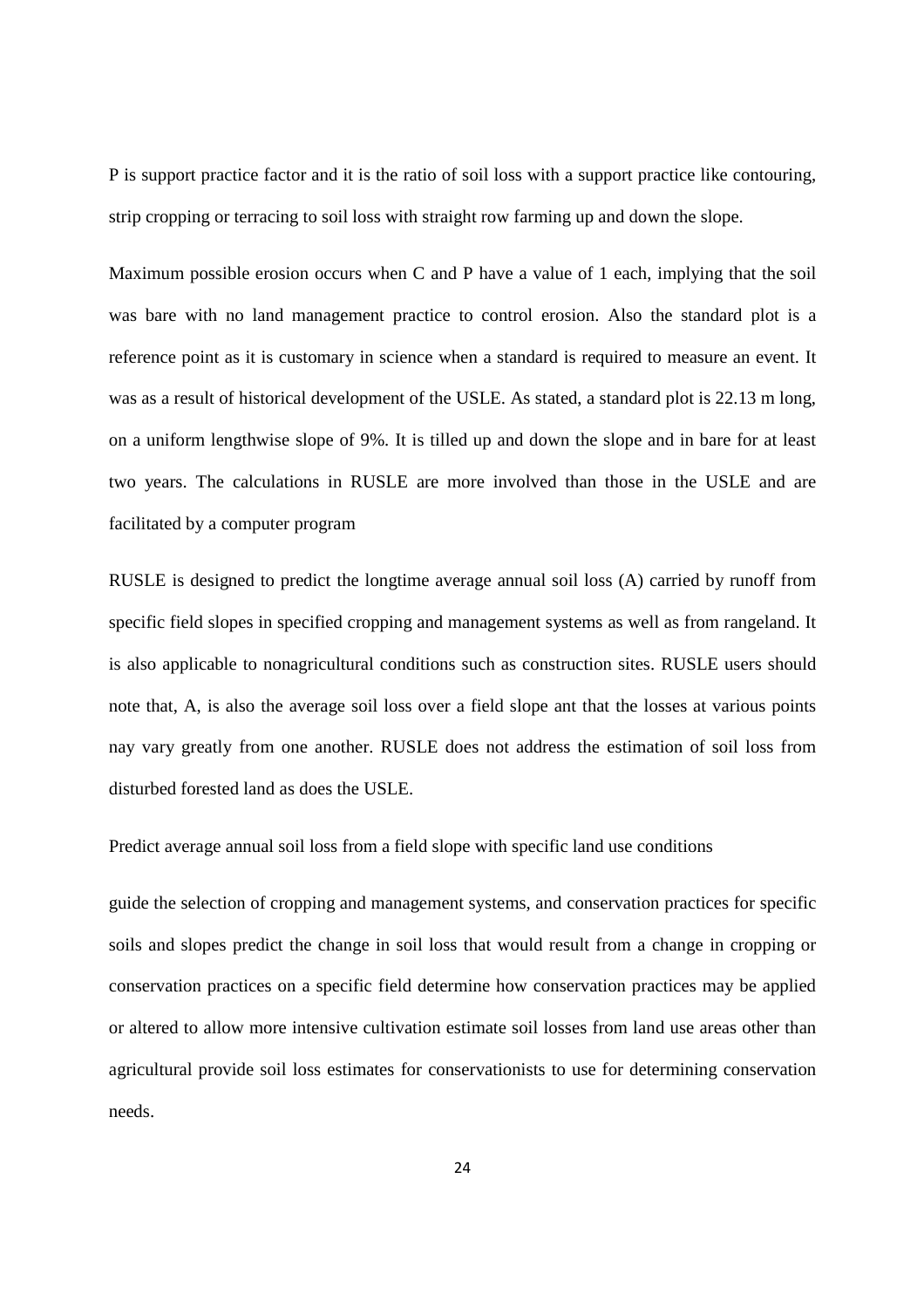P is support practice factor and it is the ratio of soil loss with a support practice like contouring, strip cropping or terracing to soil loss with straight row farming up and down the slope.

Maximum possible erosion occurs when C and P have a value of 1 each, implying that the soil was bare with no land management practice to control erosion. Also the standard plot is a reference point as it is customary in science when a standard is required to measure an event. It was as a result of historical development of the USLE. As stated, a standard plot is 22.13 m long, on a uniform lengthwise slope of 9%. It is tilled up and down the slope and in bare for at least two years. The calculations in RUSLE are more involved than those in the USLE and are facilitated by a computer program

RUSLE is designed to predict the longtime average annual soil loss (A) carried by runoff from specific field slopes in specified cropping and management systems as well as from rangeland. It is also applicable to nonagricultural conditions such as construction sites. RUSLE users should note that, A, is also the average soil loss over a field slope ant that the losses at various points nay vary greatly from one another. RUSLE does not address the estimation of soil loss from disturbed forested land as does the USLE.

Predict average annual soil loss from a field slope with specific land use conditions

guide the selection of cropping and management systems, and conservation practices for specific soils and slopes predict the change in soil loss that would result from a change in cropping or conservation practices on a specific field determine how conservation practices may be applied or altered to allow more intensive cultivation estimate soil losses from land use areas other than agricultural provide soil loss estimates for conservationists to use for determining conservation needs.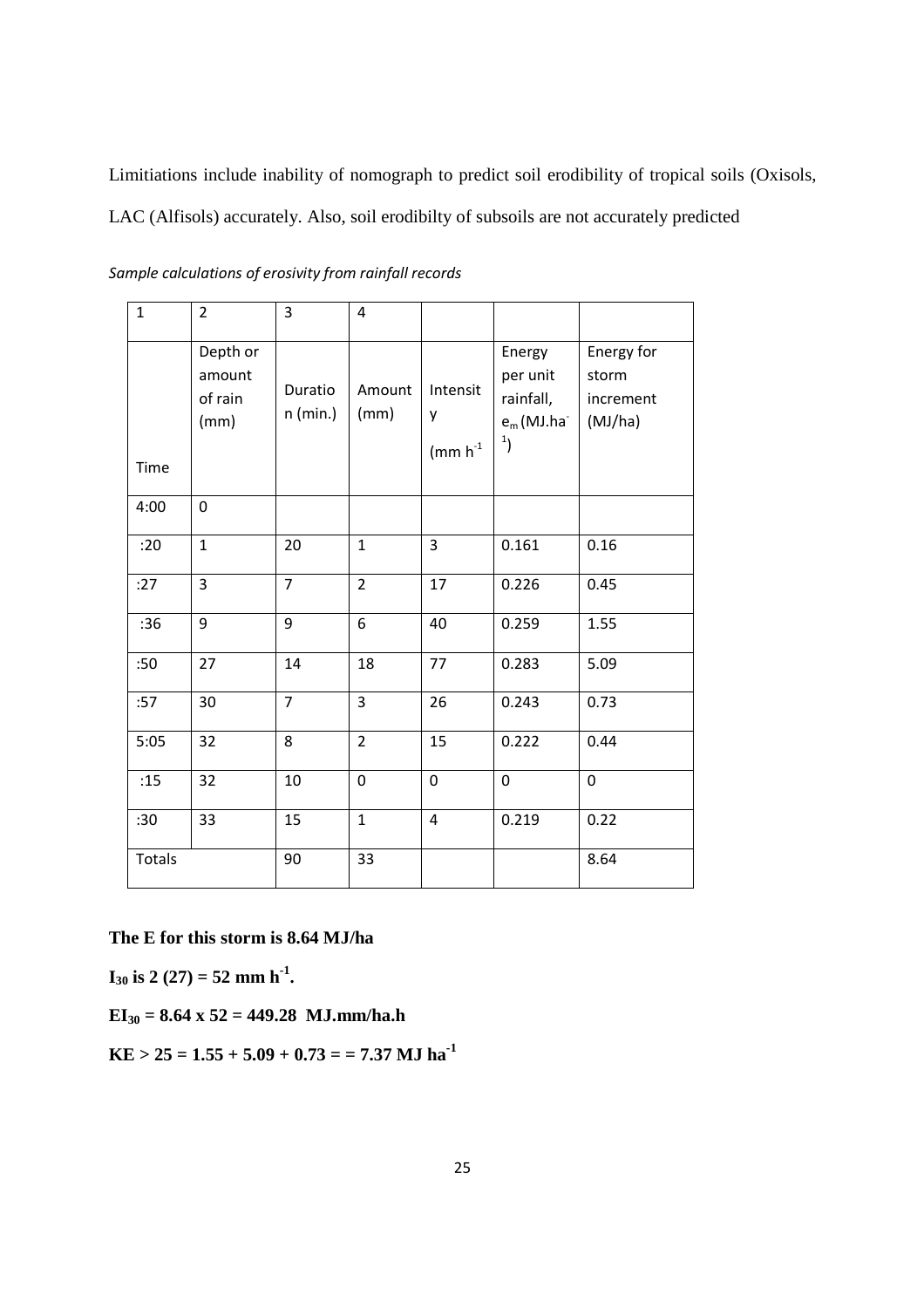Limitiations include inability of nomograph to predict soil erodibility of tropical soils (Oxisols, LAC (Alfisols) accurately. Also, soil erodibilty of subsoils are not accurately predicted

| $\mathbf{1}$ | $\overline{2}$                        | 3                     | 4              |                                   |                                                                     |                                             |
|--------------|---------------------------------------|-----------------------|----------------|-----------------------------------|---------------------------------------------------------------------|---------------------------------------------|
| Time         | Depth or<br>amount<br>of rain<br>(mm) | Duratio<br>$n$ (min.) | Amount<br>(mm) | Intensit<br>у<br>$\text{m m h}^1$ | Energy<br>per unit<br>rainfall,<br>$e_m$ (MJ.ha<br>$\boldsymbol{1}$ | Energy for<br>storm<br>increment<br>(MJ/ha) |
| 4:00         | $\mathbf{0}$                          |                       |                |                                   |                                                                     |                                             |
| :20          | $\mathbf{1}$                          | 20                    | $\mathbf{1}$   | 3                                 | 0.161                                                               | 0.16                                        |
| :27          | $\overline{3}$                        | $\overline{7}$        | $\overline{2}$ | 17                                | 0.226                                                               | 0.45                                        |
| :36          | 9                                     | 9                     | 6              | 40                                | 0.259                                                               | 1.55                                        |
| :50          | 27                                    | 14                    | 18             | 77                                | 0.283                                                               | 5.09                                        |
| :57          | 30                                    | $\overline{7}$        | $\overline{3}$ | 26                                | 0.243                                                               | 0.73                                        |
| 5:05         | 32                                    | 8                     | $\overline{2}$ | 15                                | 0.222                                                               | 0.44                                        |
| :15          | 32                                    | 10                    | $\mathbf 0$    | $\mathbf 0$                       | $\pmb{0}$                                                           | $\overline{0}$                              |
| :30          | 33                                    | 15                    | $\mathbf{1}$   | 4                                 | 0.219                                                               | 0.22                                        |
| Totals       |                                       | 90                    | 33             |                                   |                                                                     | 8.64                                        |

*Sample calculations of erosivity from rainfall records* 

**The E for this storm is 8.64 MJ/ha** 

 $I_{30}$  is 2 (27) = 52 mm h<sup>-1</sup>.

**EI30 = 8.64 x 52 = 449.28 MJ.mm/ha.h** 

**KE > 25 = 1.55 + 5.09 + 0.73 = = 7.37 MJ ha-1**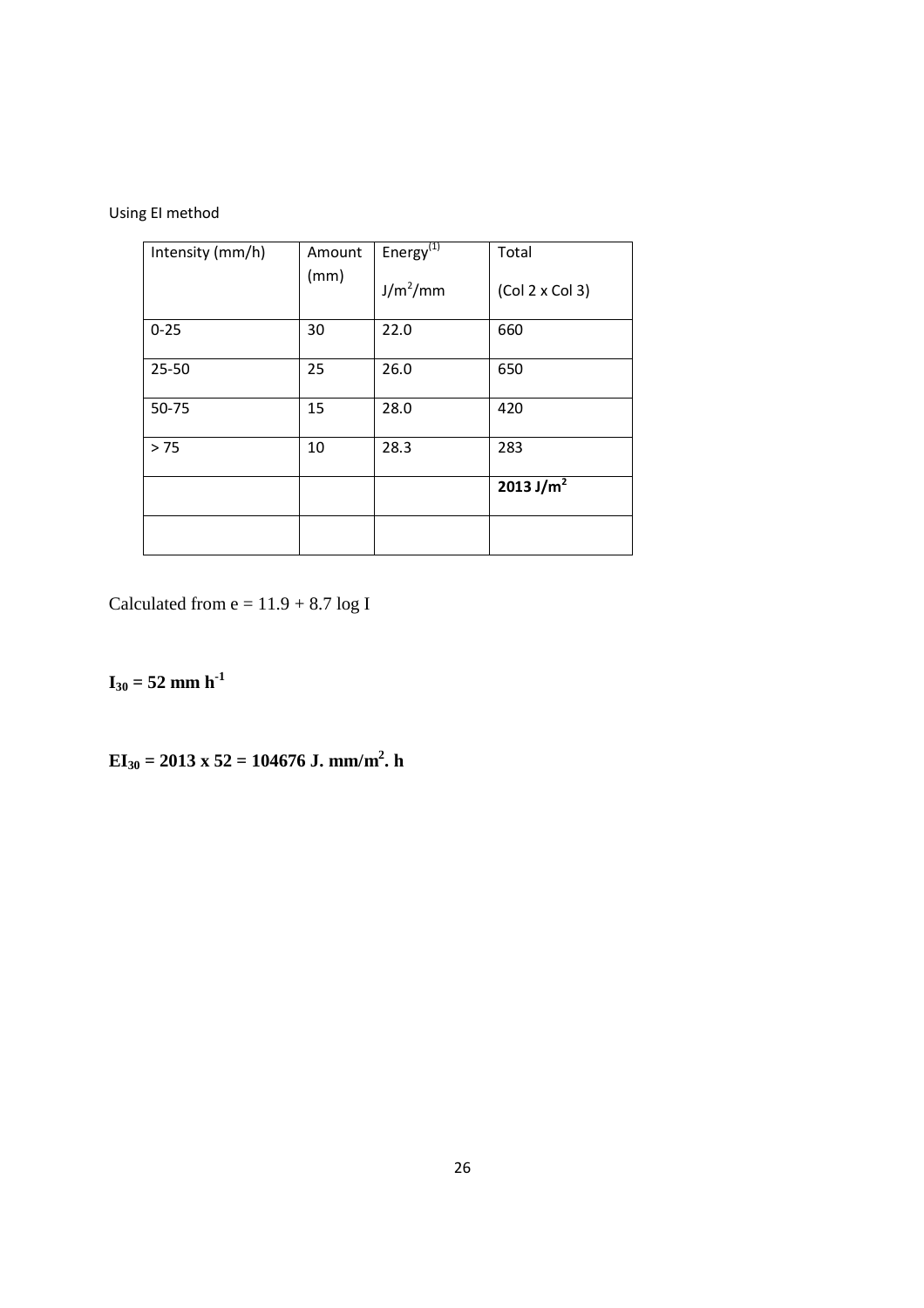Using EI method

| Intensity (mm/h) | Amount | Energy <sup>(1)</sup> | Total                 |
|------------------|--------|-----------------------|-----------------------|
|                  | (mm)   | $J/m^2/mm$            | (Col 2 x Col 3)       |
| $0 - 25$         | 30     | 22.0                  | 660                   |
| $25 - 50$        | 25     | 26.0                  | 650                   |
| 50-75            | 15     | 28.0                  | 420                   |
| > 75             | 10     | 28.3                  | 283                   |
|                  |        |                       | 2013 J/m <sup>2</sup> |
|                  |        |                       |                       |

Calculated from  $e = 11.9 + 8.7 \log I$ 

# $I_{30} = 52$  mm h<sup>-1</sup>

### $\mathbf{EI}_{30} = 2013 \times 52 = 104676 \text{ J. mm/m}^2$ . h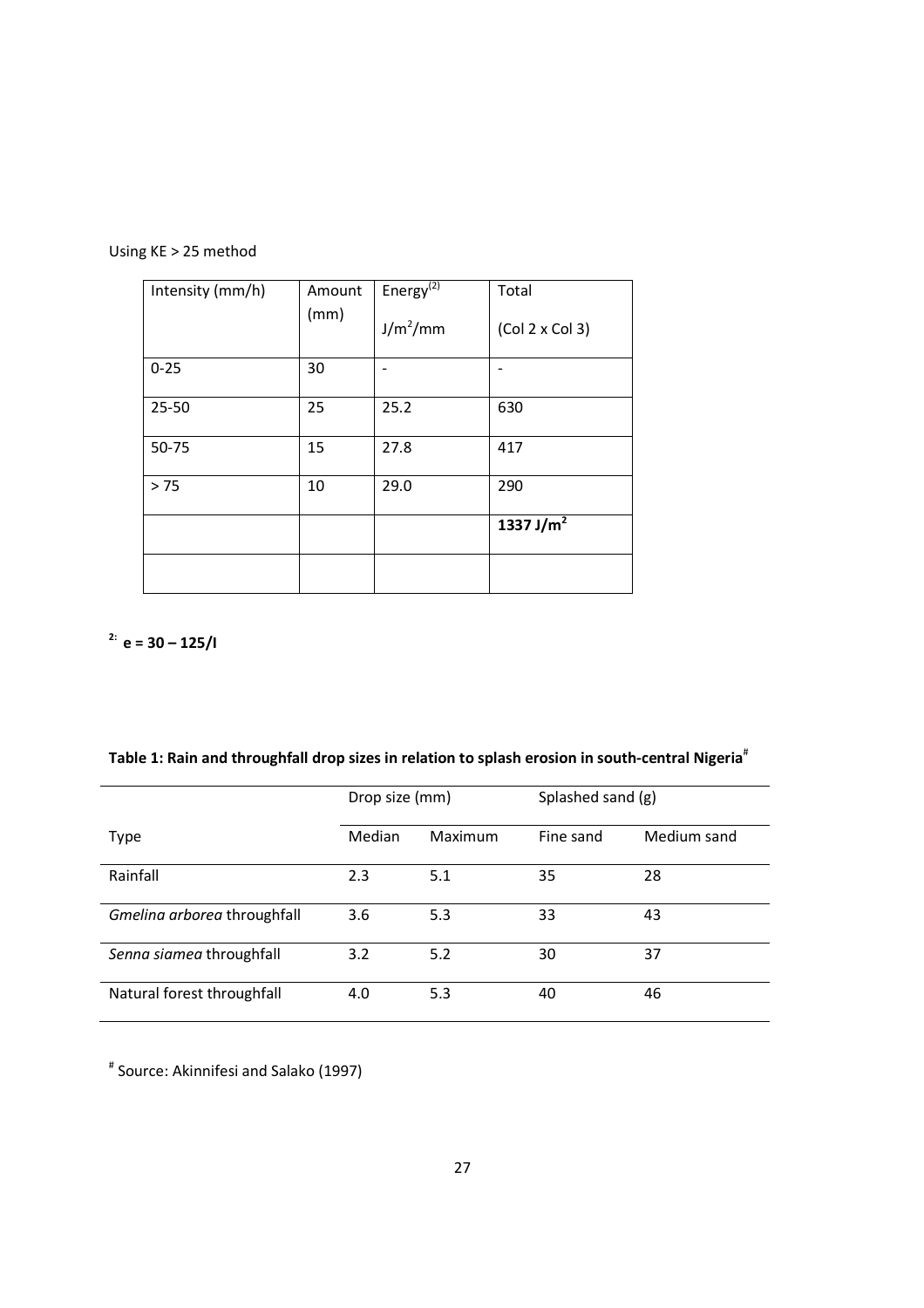| Using KE > 25 method |  |
|----------------------|--|
|----------------------|--|

| Intensity (mm/h) | Amount | Energy <sup>(<math>2)</math></sup> | Total                 |
|------------------|--------|------------------------------------|-----------------------|
|                  | (mm)   | $J/m^2/mm$                         | (Col 2 x Col 3)       |
| $0 - 25$         | 30     |                                    |                       |
| $25 - 50$        | 25     | 25.2                               | 630                   |
| 50-75            | 15     | 27.8                               | 417                   |
| > 75             | 10     | 29.0                               | 290                   |
|                  |        |                                    | 1337 J/m <sup>2</sup> |
|                  |        |                                    |                       |

**2: e = 30 – 125/I** 

| Table 1: Rain and throughfall drop sizes in relation to splash erosion in south-central Nigeria <sup>#</sup> |  |  |  |  |  |
|--------------------------------------------------------------------------------------------------------------|--|--|--|--|--|
|--------------------------------------------------------------------------------------------------------------|--|--|--|--|--|

|                             | Drop size (mm) |         | Splashed sand (g) |             |  |
|-----------------------------|----------------|---------|-------------------|-------------|--|
| <b>Type</b>                 | Median         | Maximum | Fine sand         | Medium sand |  |
| Rainfall                    | 2.3            | 5.1     | 35                | 28          |  |
| Gmelina arborea throughfall | 3.6            | 5.3     | 33                | 43          |  |
| Senna siamea throughfall    | 3.2            | 5.2     | 30                | 37          |  |
| Natural forest throughfall  | 4.0            | 5.3     | 40                | 46          |  |

# Source: Akinnifesi and Salako (1997)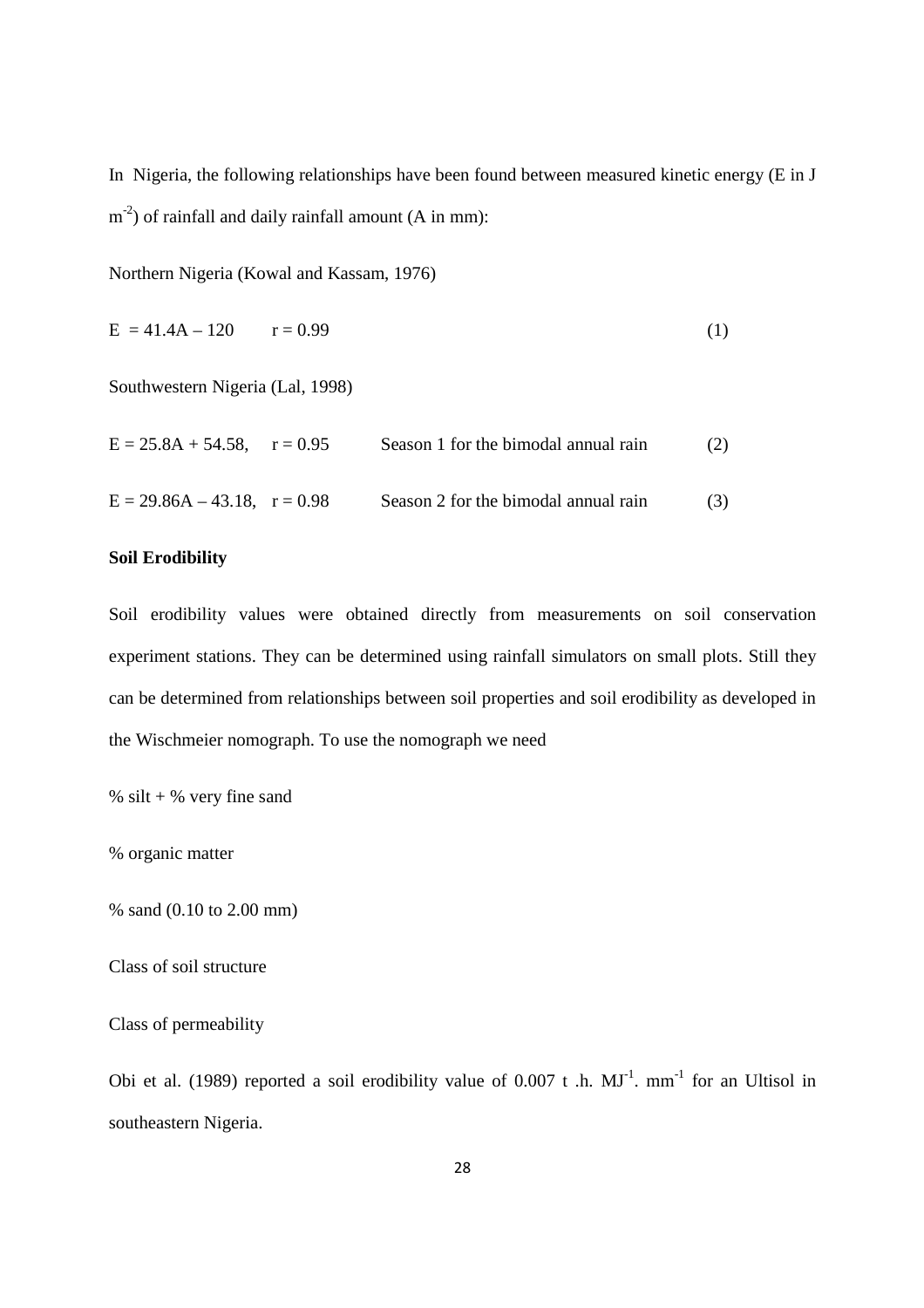In Nigeria, the following relationships have been found between measured kinetic energy (E in J  $(m<sup>-2</sup>)$  of rainfall and daily rainfall amount (A in mm):

Northern Nigeria (Kowal and Kassam, 1976)

$$
E = 41.4A - 120 \t r = 0.99 \t (1)
$$

Southwestern Nigeria (Lal, 1998)

| $E = 25.8A + 54.58$ , $r = 0.95$  | Season 1 for the bimodal annual rain | (2) |
|-----------------------------------|--------------------------------------|-----|
| $E = 29.86A - 43.18$ , $r = 0.98$ | Season 2 for the bimodal annual rain | (3) |

#### **Soil Erodibility**

Soil erodibility values were obtained directly from measurements on soil conservation experiment stations. They can be determined using rainfall simulators on small plots. Still they can be determined from relationships between soil properties and soil erodibility as developed in the Wischmeier nomograph. To use the nomograph we need

% silt  $+$  % very fine sand

% organic matter

% sand (0.10 to 2.00 mm)

Class of soil structure

Class of permeability

Obi et al. (1989) reported a soil erodibility value of  $0.007$  t .h.  $MJ^{-1}$ . mm<sup>-1</sup> for an Ultisol in southeastern Nigeria.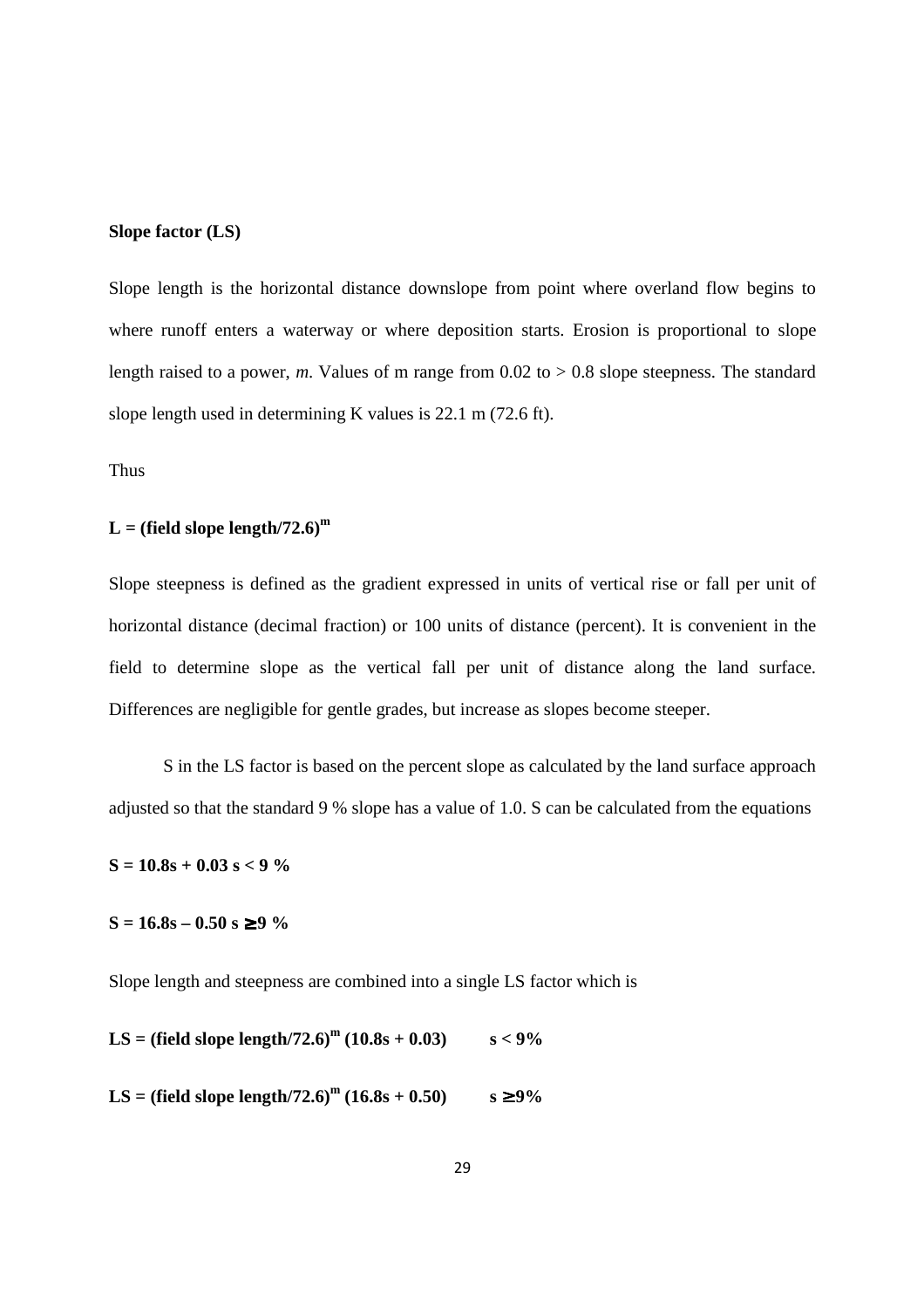#### **Slope factor (LS)**

Slope length is the horizontal distance downslope from point where overland flow begins to where runoff enters a waterway or where deposition starts. Erosion is proportional to slope length raised to a power,  $m$ . Values of m range from  $0.02$  to  $> 0.8$  slope steepness. The standard slope length used in determining K values is 22.1 m (72.6 ft).

Thus

#### $L = (field slope length/72.6)^m$

Slope steepness is defined as the gradient expressed in units of vertical rise or fall per unit of horizontal distance (decimal fraction) or 100 units of distance (percent). It is convenient in the field to determine slope as the vertical fall per unit of distance along the land surface. Differences are negligible for gentle grades, but increase as slopes become steeper.

 S in the LS factor is based on the percent slope as calculated by the land surface approach adjusted so that the standard 9 % slope has a value of 1.0. S can be calculated from the equations

**S = 10.8s + 0.03 s < 9 %** 

 $S = 16.8s - 0.50 s ≥ 9 %$ 

Slope length and steepness are combined into a single LS factor which is

**LS** = (field slope length/72.6)<sup>m</sup> (10.8s + 0.03) s < 9%

**LS** = (field slope length/72.6)<sup>m</sup> (16.8s + 0.50) s ≥ 9%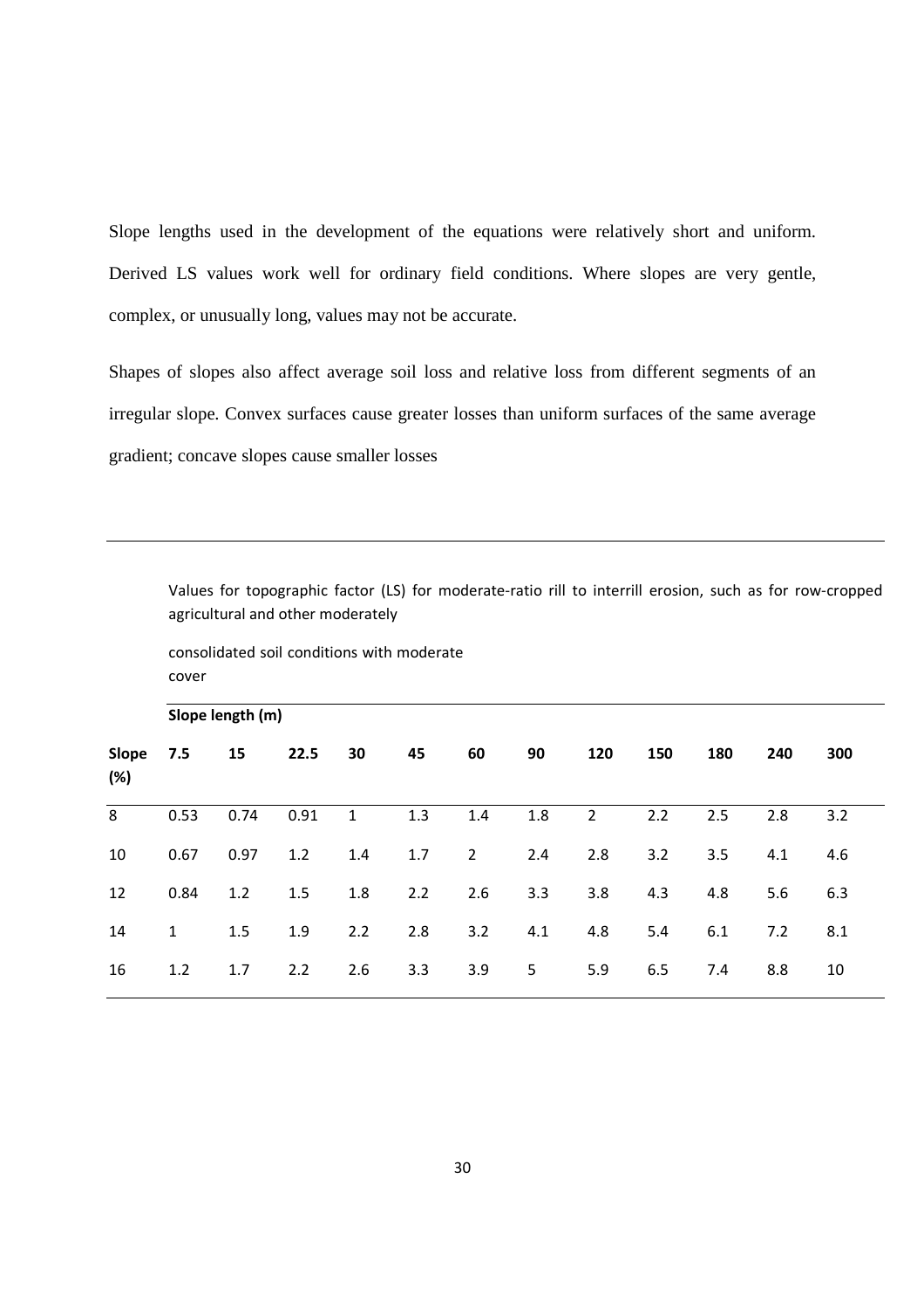Slope lengths used in the development of the equations were relatively short and uniform. Derived LS values work well for ordinary field conditions. Where slopes are very gentle, complex, or unusually long, values may not be accurate.

Shapes of slopes also affect average soil loss and relative loss from different segments of an irregular slope. Convex surfaces cause greater losses than uniform surfaces of the same average gradient; concave slopes cause smaller losses

Values for topographic factor (LS) for moderate-ratio rill to interrill erosion, such as for row-cropped agricultural and other moderately

consolidated soil conditions with moderate cover

|              | Slope length (m) |      |      |              |     |                |     |                |     |     |     |     |
|--------------|------------------|------|------|--------------|-----|----------------|-----|----------------|-----|-----|-----|-----|
| Slope<br>(%) | 7.5              | 15   | 22.5 | 30           | 45  | 60             | 90  | 120            | 150 | 180 | 240 | 300 |
| 8            | 0.53             | 0.74 | 0.91 | $\mathbf{1}$ | 1.3 | 1.4            | 1.8 | $\overline{2}$ | 2.2 | 2.5 | 2.8 | 3.2 |
| 10           | 0.67             | 0.97 | 1.2  | 1.4          | 1.7 | $\overline{2}$ | 2.4 | 2.8            | 3.2 | 3.5 | 4.1 | 4.6 |
| 12           | 0.84             | 1.2  | 1.5  | 1.8          | 2.2 | 2.6            | 3.3 | 3.8            | 4.3 | 4.8 | 5.6 | 6.3 |
| 14           | $\mathbf{1}$     | 1.5  | 1.9  | 2.2          | 2.8 | 3.2            | 4.1 | 4.8            | 5.4 | 6.1 | 7.2 | 8.1 |
| 16           | 1.2              | 1.7  | 2.2  | 2.6          | 3.3 | 3.9            | 5   | 5.9            | 6.5 | 7.4 | 8.8 | 10  |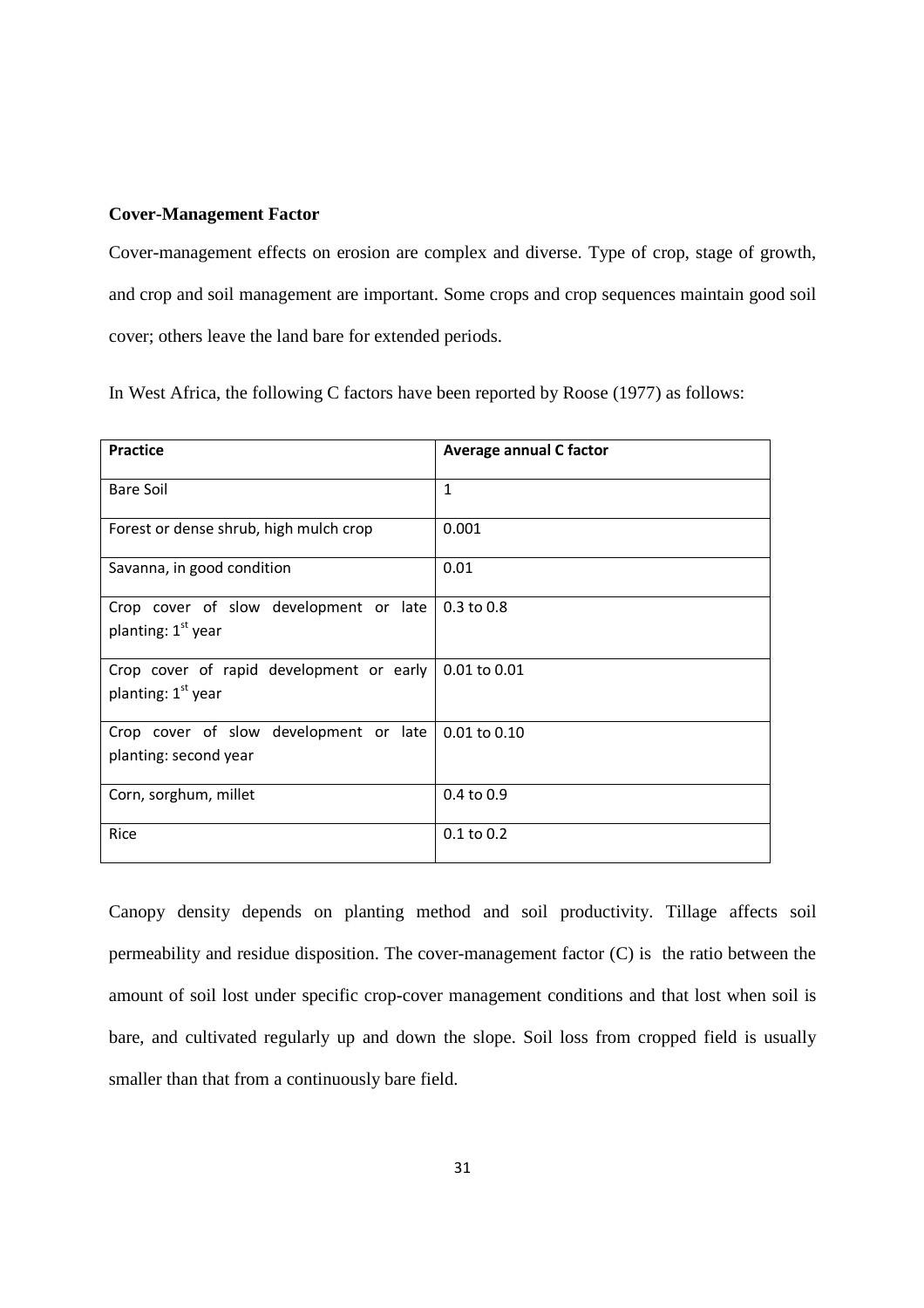#### **Cover-Management Factor**

Cover-management effects on erosion are complex and diverse. Type of crop, stage of growth, and crop and soil management are important. Some crops and crop sequences maintain good soil cover; others leave the land bare for extended periods.

In West Africa, the following C factors have been reported by Roose (1977) as follows:

| Practice                                                                 | Average annual C factor |
|--------------------------------------------------------------------------|-------------------------|
| <b>Bare Soil</b>                                                         | $\mathbf{1}$            |
| Forest or dense shrub, high mulch crop                                   | 0.001                   |
| Savanna, in good condition                                               | 0.01                    |
| Crop cover of slow development or late<br>planting: 1 <sup>st</sup> year | $0.3$ to $0.8$          |
| Crop cover of rapid development or early<br>planting: $1st$ year         | 0.01 to 0.01            |
| Crop cover of slow development or late<br>planting: second year          | $0.01$ to $0.10$        |
| Corn, sorghum, millet                                                    | $0.4$ to $0.9$          |
| Rice                                                                     | $0.1$ to $0.2$          |

Canopy density depends on planting method and soil productivity. Tillage affects soil permeability and residue disposition. The cover-management factor (C) is the ratio between the amount of soil lost under specific crop-cover management conditions and that lost when soil is bare, and cultivated regularly up and down the slope. Soil loss from cropped field is usually smaller than that from a continuously bare field.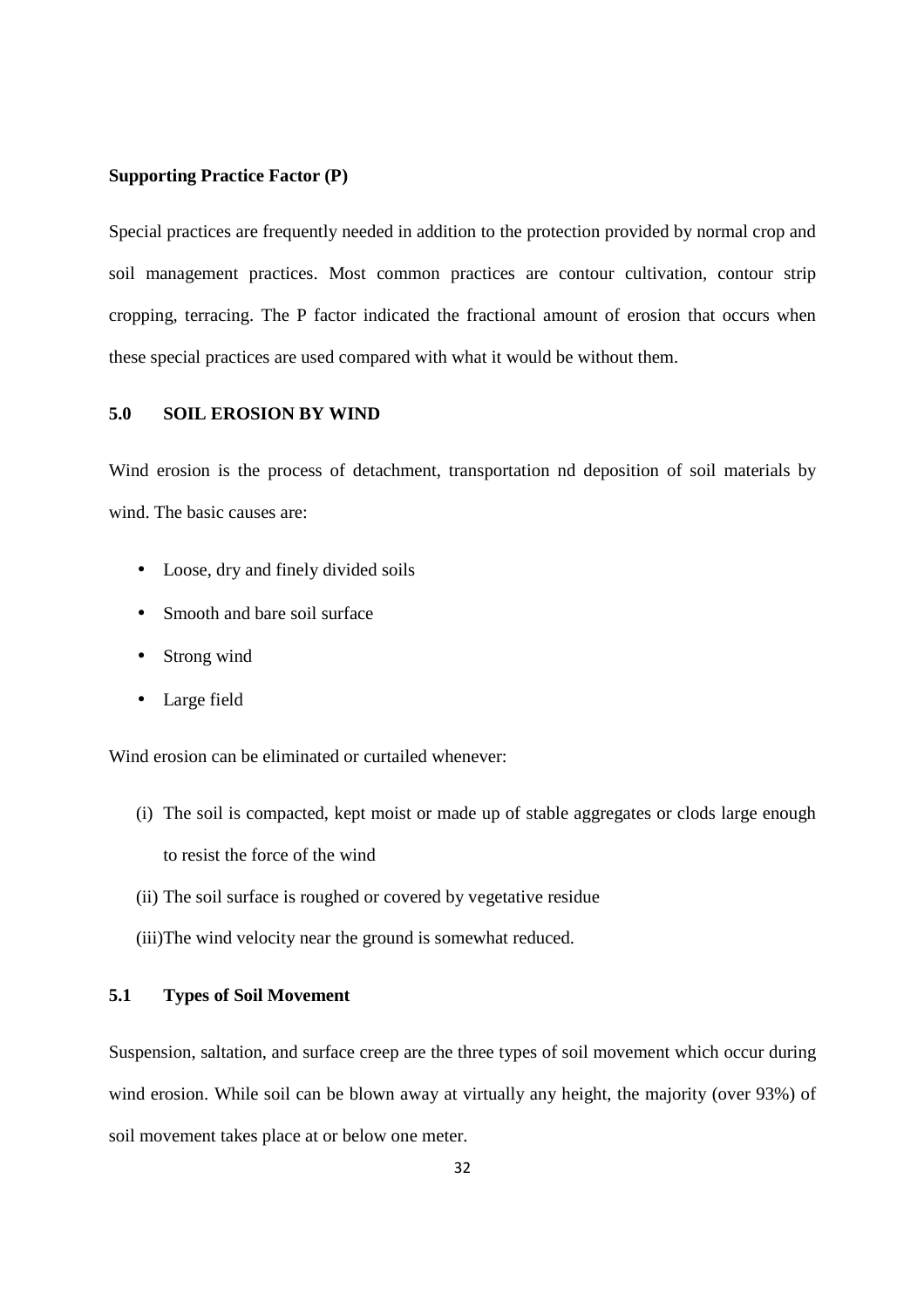#### **Supporting Practice Factor (P)**

Special practices are frequently needed in addition to the protection provided by normal crop and soil management practices. Most common practices are contour cultivation, contour strip cropping, terracing. The P factor indicated the fractional amount of erosion that occurs when these special practices are used compared with what it would be without them.

#### **5.0 SOIL EROSION BY WIND**

Wind erosion is the process of detachment, transportation nd deposition of soil materials by wind. The basic causes are:

- Loose, dry and finely divided soils
- Smooth and bare soil surface
- Strong wind
- Large field

Wind erosion can be eliminated or curtailed whenever:

- (i) The soil is compacted, kept moist or made up of stable aggregates or clods large enough to resist the force of the wind
- (ii) The soil surface is roughed or covered by vegetative residue
- (iii)The wind velocity near the ground is somewhat reduced.

#### **5.1 Types of Soil Movement**

Suspension, saltation, and surface creep are the three types of soil movement which occur during wind erosion. While soil can be blown away at virtually any height, the majority (over 93%) of soil movement takes place at or below one meter.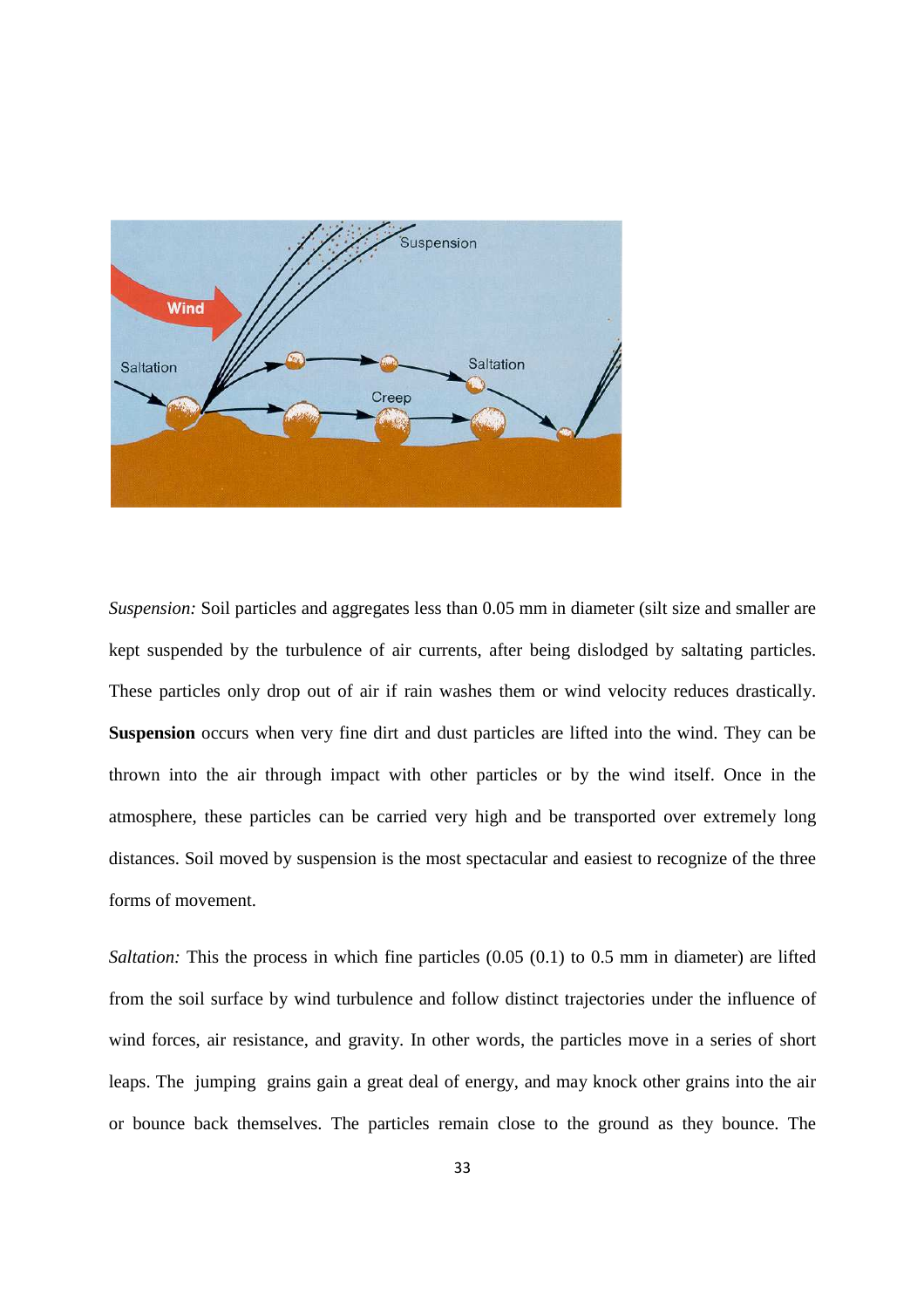

*Suspension:* Soil particles and aggregates less than 0.05 mm in diameter (silt size and smaller are kept suspended by the turbulence of air currents, after being dislodged by saltating particles. These particles only drop out of air if rain washes them or wind velocity reduces drastically. **Suspension** occurs when very fine dirt and dust particles are lifted into the wind. They can be thrown into the air through impact with other particles or by the wind itself. Once in the atmosphere, these particles can be carried very high and be transported over extremely long distances. Soil moved by suspension is the most spectacular and easiest to recognize of the three forms of movement.

*Saltation:* This the process in which fine particles (0.05 (0.1) to 0.5 mm in diameter) are lifted from the soil surface by wind turbulence and follow distinct trajectories under the influence of wind forces, air resistance, and gravity. In other words, the particles move in a series of short leaps. The jumping grains gain a great deal of energy, and may knock other grains into the air or bounce back themselves. The particles remain close to the ground as they bounce. The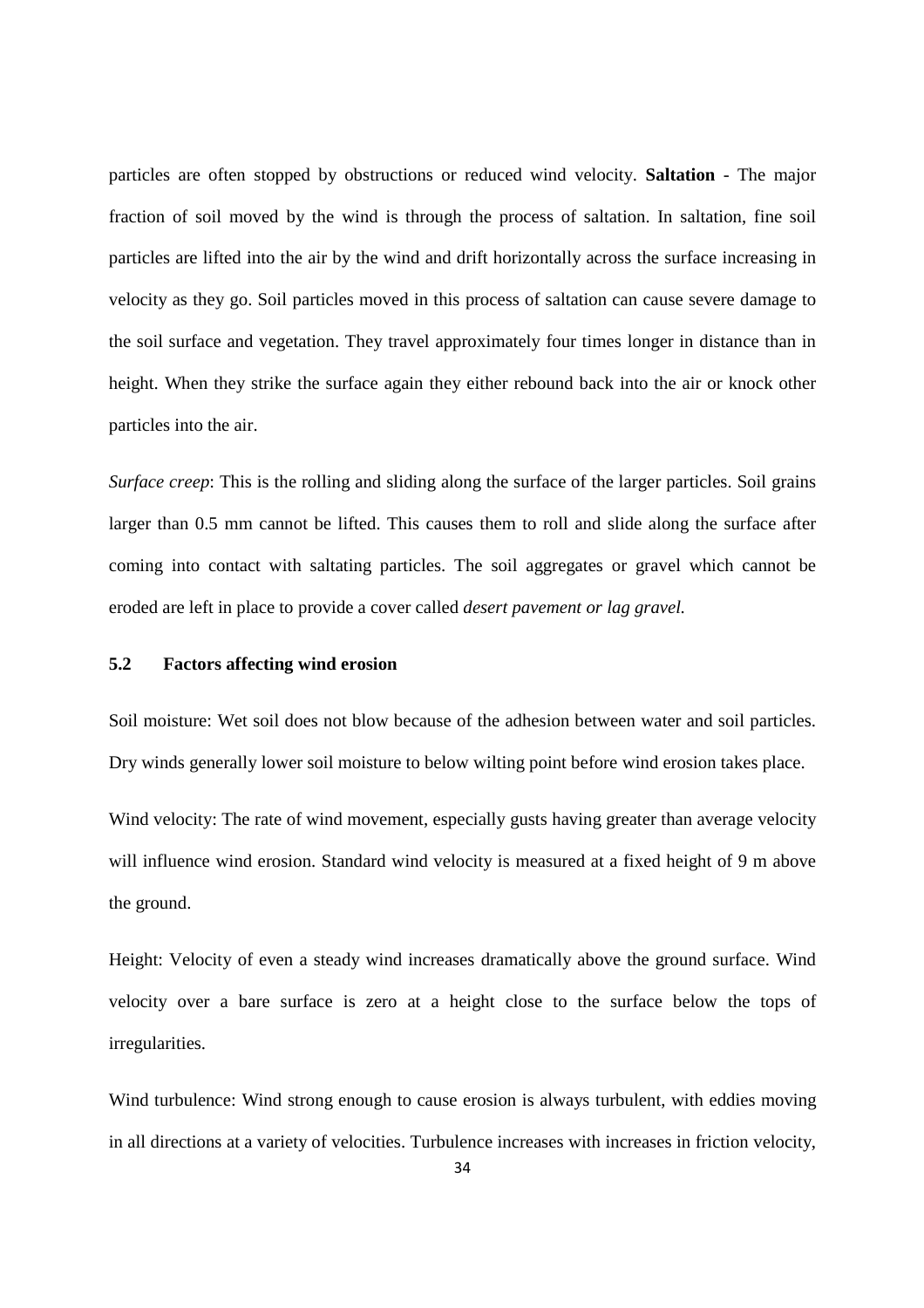particles are often stopped by obstructions or reduced wind velocity. **Saltation** - The major fraction of soil moved by the wind is through the process of saltation. In saltation, fine soil particles are lifted into the air by the wind and drift horizontally across the surface increasing in velocity as they go. Soil particles moved in this process of saltation can cause severe damage to the soil surface and vegetation. They travel approximately four times longer in distance than in height. When they strike the surface again they either rebound back into the air or knock other particles into the air.

*Surface creep*: This is the rolling and sliding along the surface of the larger particles. Soil grains larger than 0.5 mm cannot be lifted. This causes them to roll and slide along the surface after coming into contact with saltating particles. The soil aggregates or gravel which cannot be eroded are left in place to provide a cover called *desert pavement or lag gravel.*

#### **5.2 Factors affecting wind erosion**

Soil moisture: Wet soil does not blow because of the adhesion between water and soil particles. Dry winds generally lower soil moisture to below wilting point before wind erosion takes place.

Wind velocity: The rate of wind movement, especially gusts having greater than average velocity will influence wind erosion. Standard wind velocity is measured at a fixed height of 9 m above the ground.

Height: Velocity of even a steady wind increases dramatically above the ground surface. Wind velocity over a bare surface is zero at a height close to the surface below the tops of irregularities.

Wind turbulence: Wind strong enough to cause erosion is always turbulent, with eddies moving in all directions at a variety of velocities. Turbulence increases with increases in friction velocity,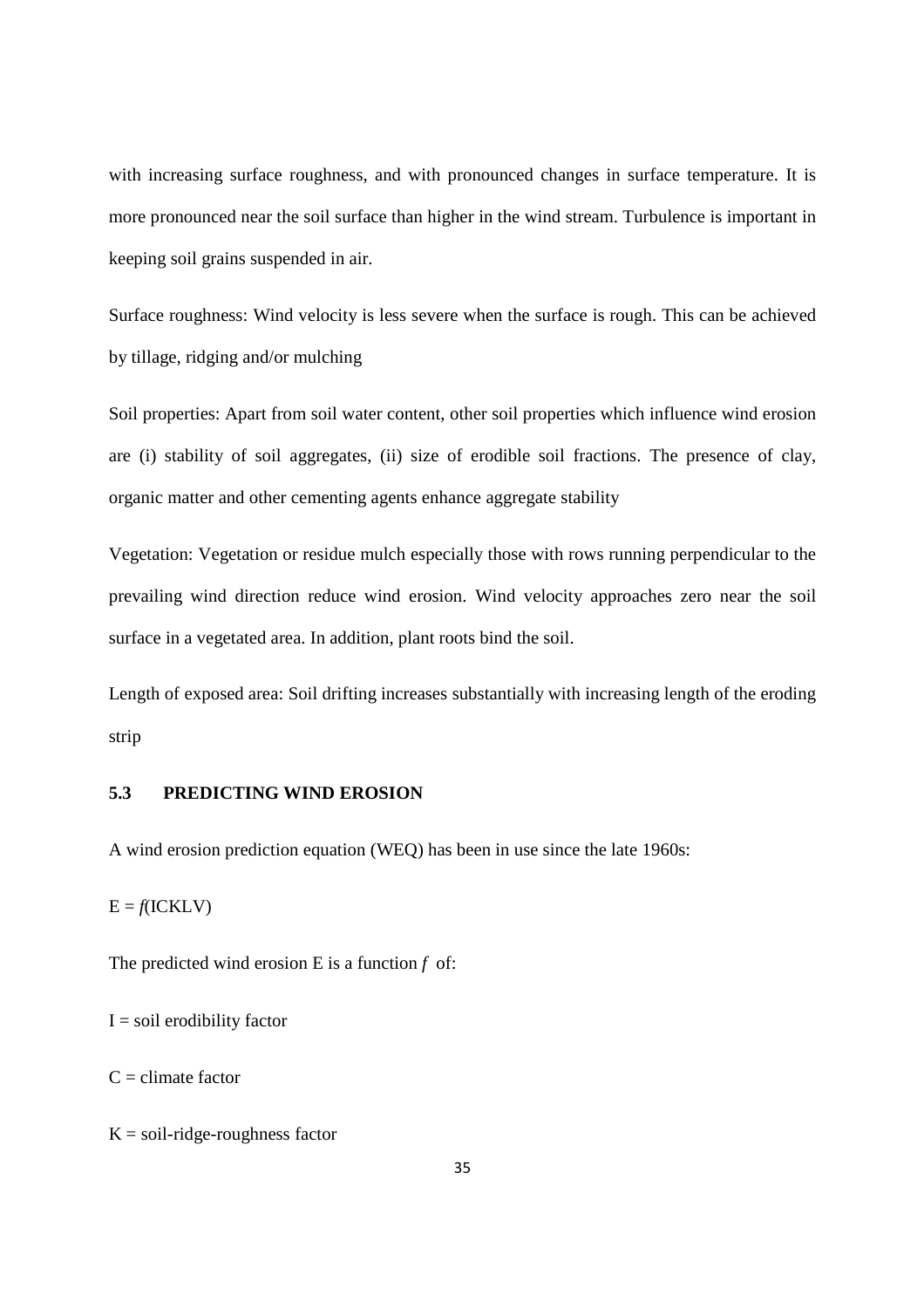with increasing surface roughness, and with pronounced changes in surface temperature. It is more pronounced near the soil surface than higher in the wind stream. Turbulence is important in keeping soil grains suspended in air.

Surface roughness: Wind velocity is less severe when the surface is rough. This can be achieved by tillage, ridging and/or mulching

Soil properties: Apart from soil water content, other soil properties which influence wind erosion are (i) stability of soil aggregates, (ii) size of erodible soil fractions. The presence of clay, organic matter and other cementing agents enhance aggregate stability

Vegetation: Vegetation or residue mulch especially those with rows running perpendicular to the prevailing wind direction reduce wind erosion. Wind velocity approaches zero near the soil surface in a vegetated area. In addition, plant roots bind the soil.

Length of exposed area: Soil drifting increases substantially with increasing length of the eroding strip

#### **5.3 PREDICTING WIND EROSION**

A wind erosion prediction equation (WEQ) has been in use since the late 1960s:

 $E = f(ICKLV)$ 

The predicted wind erosion E is a function *f* of:

 $I = soil$  erodibility factor

 $C =$  climate factor

 $K = soil-ridge-roughness factor$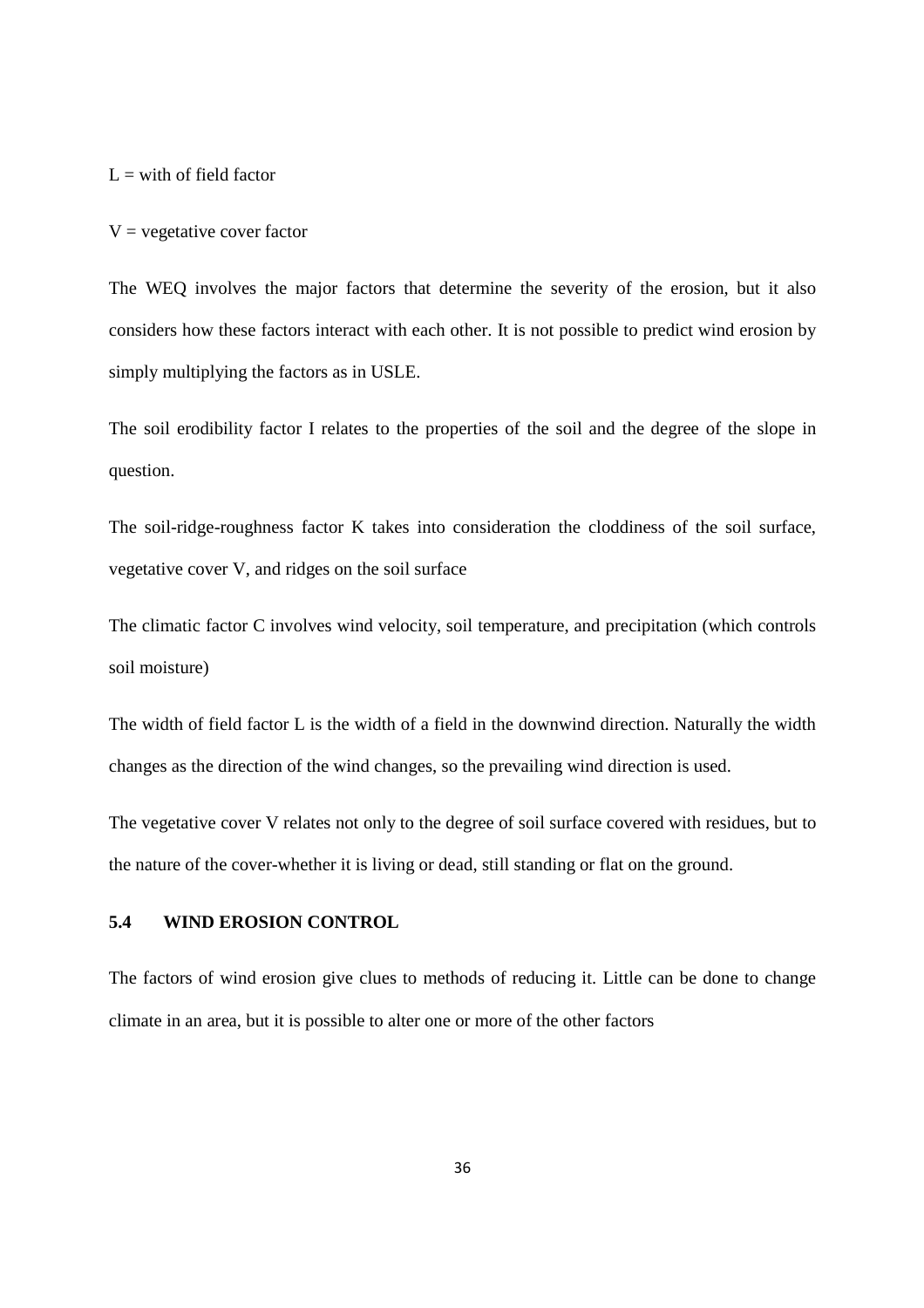$L =$  with of field factor

 $V =$  vegetative cover factor

The WEQ involves the major factors that determine the severity of the erosion, but it also considers how these factors interact with each other. It is not possible to predict wind erosion by simply multiplying the factors as in USLE.

The soil erodibility factor I relates to the properties of the soil and the degree of the slope in question.

The soil-ridge-roughness factor K takes into consideration the cloddiness of the soil surface, vegetative cover V, and ridges on the soil surface

The climatic factor C involves wind velocity, soil temperature, and precipitation (which controls soil moisture)

The width of field factor L is the width of a field in the downwind direction. Naturally the width changes as the direction of the wind changes, so the prevailing wind direction is used.

The vegetative cover V relates not only to the degree of soil surface covered with residues, but to the nature of the cover-whether it is living or dead, still standing or flat on the ground.

#### **5.4 WIND EROSION CONTROL**

The factors of wind erosion give clues to methods of reducing it. Little can be done to change climate in an area, but it is possible to alter one or more of the other factors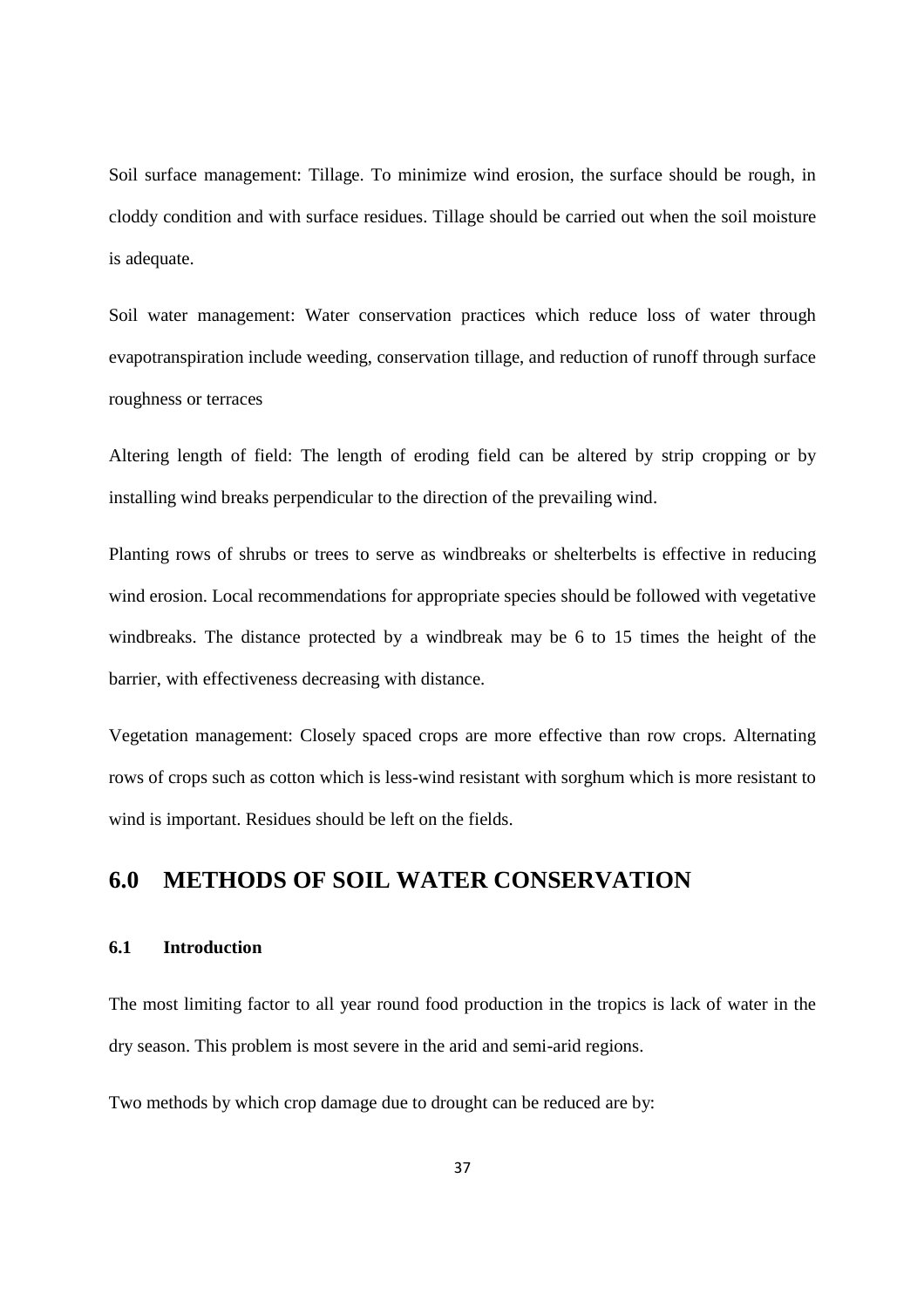Soil surface management: Tillage. To minimize wind erosion, the surface should be rough, in cloddy condition and with surface residues. Tillage should be carried out when the soil moisture is adequate.

Soil water management: Water conservation practices which reduce loss of water through evapotranspiration include weeding, conservation tillage, and reduction of runoff through surface roughness or terraces

Altering length of field: The length of eroding field can be altered by strip cropping or by installing wind breaks perpendicular to the direction of the prevailing wind.

Planting rows of shrubs or trees to serve as windbreaks or shelterbelts is effective in reducing wind erosion. Local recommendations for appropriate species should be followed with vegetative windbreaks. The distance protected by a windbreak may be 6 to 15 times the height of the barrier, with effectiveness decreasing with distance.

Vegetation management: Closely spaced crops are more effective than row crops. Alternating rows of crops such as cotton which is less-wind resistant with sorghum which is more resistant to wind is important. Residues should be left on the fields.

### **6.0 METHODS OF SOIL WATER CONSERVATION**

#### **6.1 Introduction**

The most limiting factor to all year round food production in the tropics is lack of water in the dry season. This problem is most severe in the arid and semi-arid regions.

Two methods by which crop damage due to drought can be reduced are by: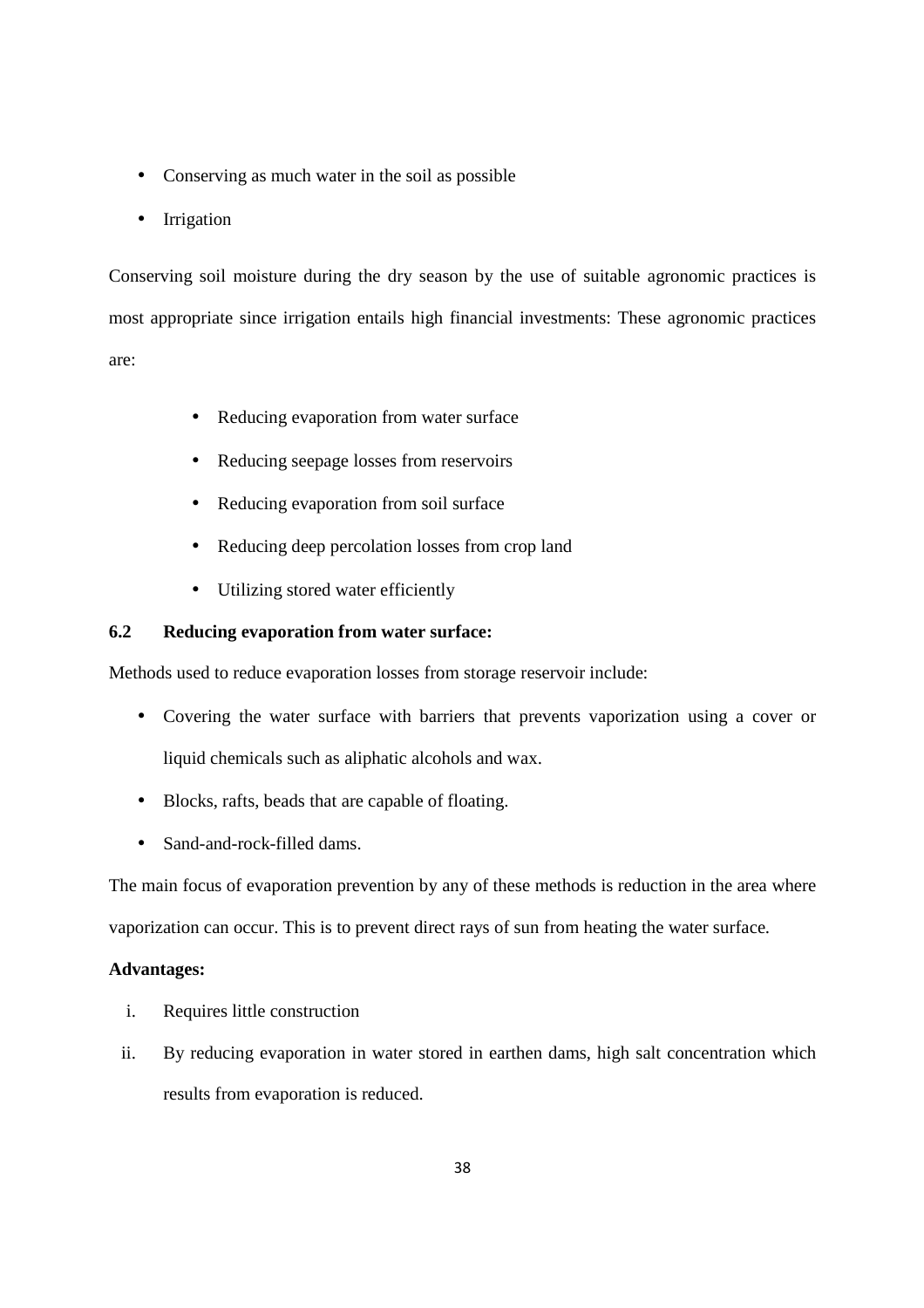- Conserving as much water in the soil as possible
- Irrigation

Conserving soil moisture during the dry season by the use of suitable agronomic practices is most appropriate since irrigation entails high financial investments: These agronomic practices are:

- Reducing evaporation from water surface
- Reducing seepage losses from reservoirs
- Reducing evaporation from soil surface
- Reducing deep percolation losses from crop land
- Utilizing stored water efficiently

#### **6.2 Reducing evaporation from water surface:**

Methods used to reduce evaporation losses from storage reservoir include:

- Covering the water surface with barriers that prevents vaporization using a cover or liquid chemicals such as aliphatic alcohols and wax.
- Blocks, rafts, beads that are capable of floating.
- Sand-and-rock-filled dams.

The main focus of evaporation prevention by any of these methods is reduction in the area where vaporization can occur. This is to prevent direct rays of sun from heating the water surface.

#### **Advantages:**

- i. Requires little construction
- ii. By reducing evaporation in water stored in earthen dams, high salt concentration which results from evaporation is reduced.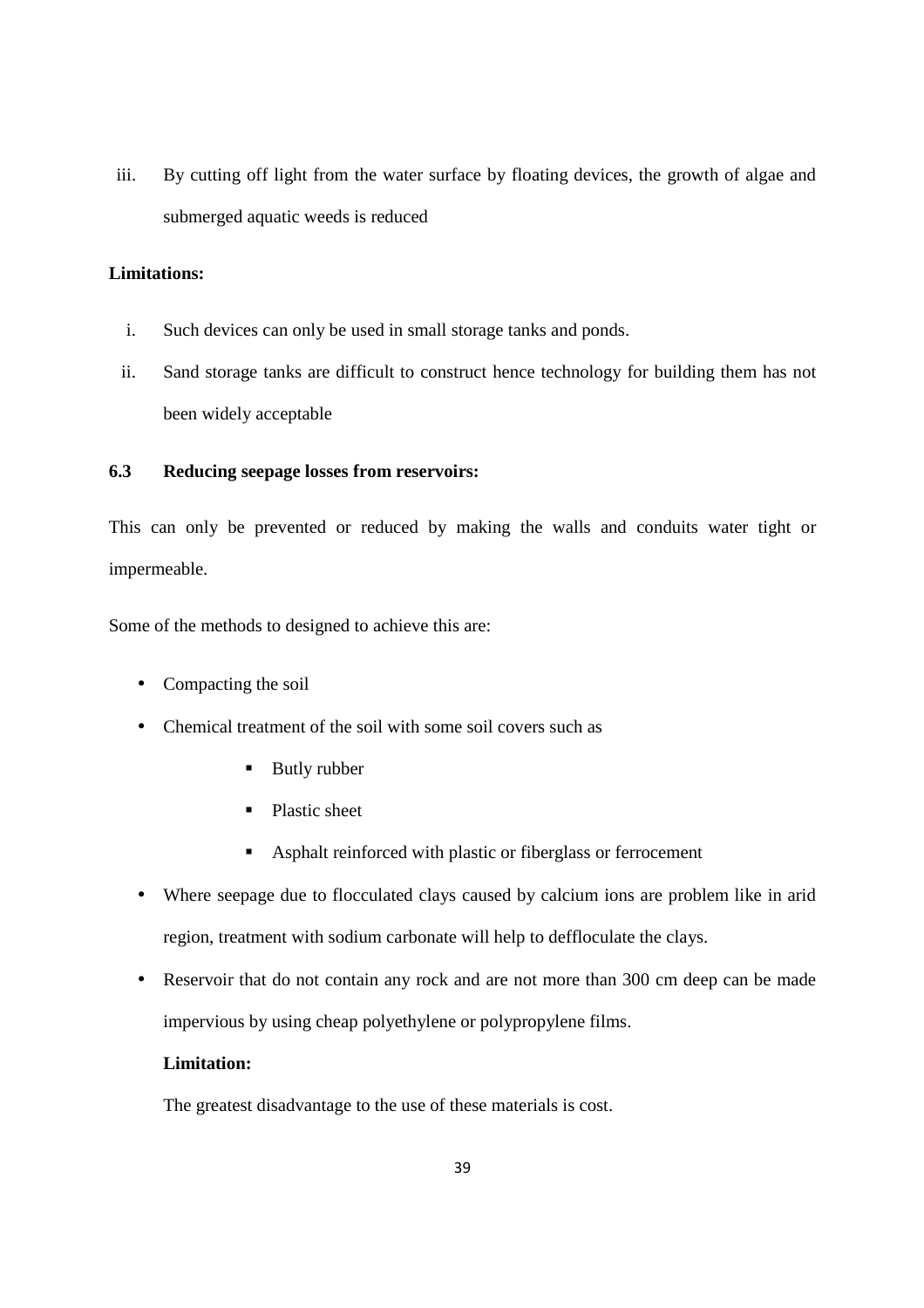iii. By cutting off light from the water surface by floating devices, the growth of algae and submerged aquatic weeds is reduced

#### **Limitations:**

- i. Such devices can only be used in small storage tanks and ponds.
- ii. Sand storage tanks are difficult to construct hence technology for building them has not been widely acceptable

#### **6.3 Reducing seepage losses from reservoirs:**

This can only be prevented or reduced by making the walls and conduits water tight or impermeable.

Some of the methods to designed to achieve this are:

- Compacting the soil
- Chemical treatment of the soil with some soil covers such as
	- **Butly rubber**
	- **Plastic sheet**
	- Asphalt reinforced with plastic or fiberglass or ferrocement
- Where seepage due to flocculated clays caused by calcium ions are problem like in arid region, treatment with sodium carbonate will help to deffloculate the clays.
- Reservoir that do not contain any rock and are not more than 300 cm deep can be made impervious by using cheap polyethylene or polypropylene films.

#### **Limitation:**

The greatest disadvantage to the use of these materials is cost.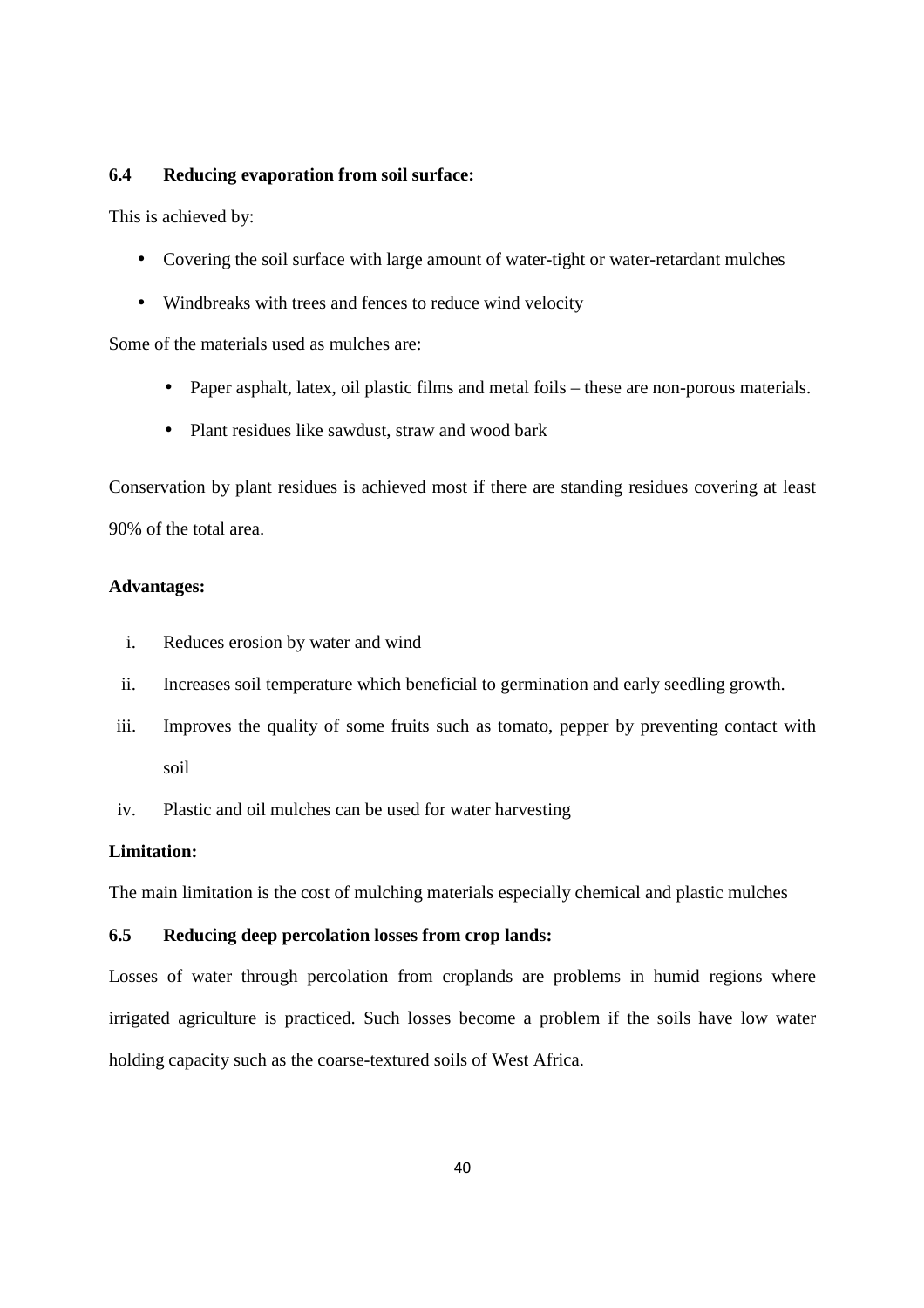#### **6.4 Reducing evaporation from soil surface:**

This is achieved by:

- Covering the soil surface with large amount of water-tight or water-retardant mulches
- Windbreaks with trees and fences to reduce wind velocity

Some of the materials used as mulches are:

- Paper asphalt, latex, oil plastic films and metal foils these are non-porous materials.
- Plant residues like sawdust, straw and wood bark

Conservation by plant residues is achieved most if there are standing residues covering at least 90% of the total area.

#### **Advantages:**

- i. Reduces erosion by water and wind
- ii. Increases soil temperature which beneficial to germination and early seedling growth.
- iii. Improves the quality of some fruits such as tomato, pepper by preventing contact with soil
- iv. Plastic and oil mulches can be used for water harvesting

#### **Limitation:**

The main limitation is the cost of mulching materials especially chemical and plastic mulches

#### **6.5 Reducing deep percolation losses from crop lands:**

Losses of water through percolation from croplands are problems in humid regions where irrigated agriculture is practiced. Such losses become a problem if the soils have low water holding capacity such as the coarse-textured soils of West Africa.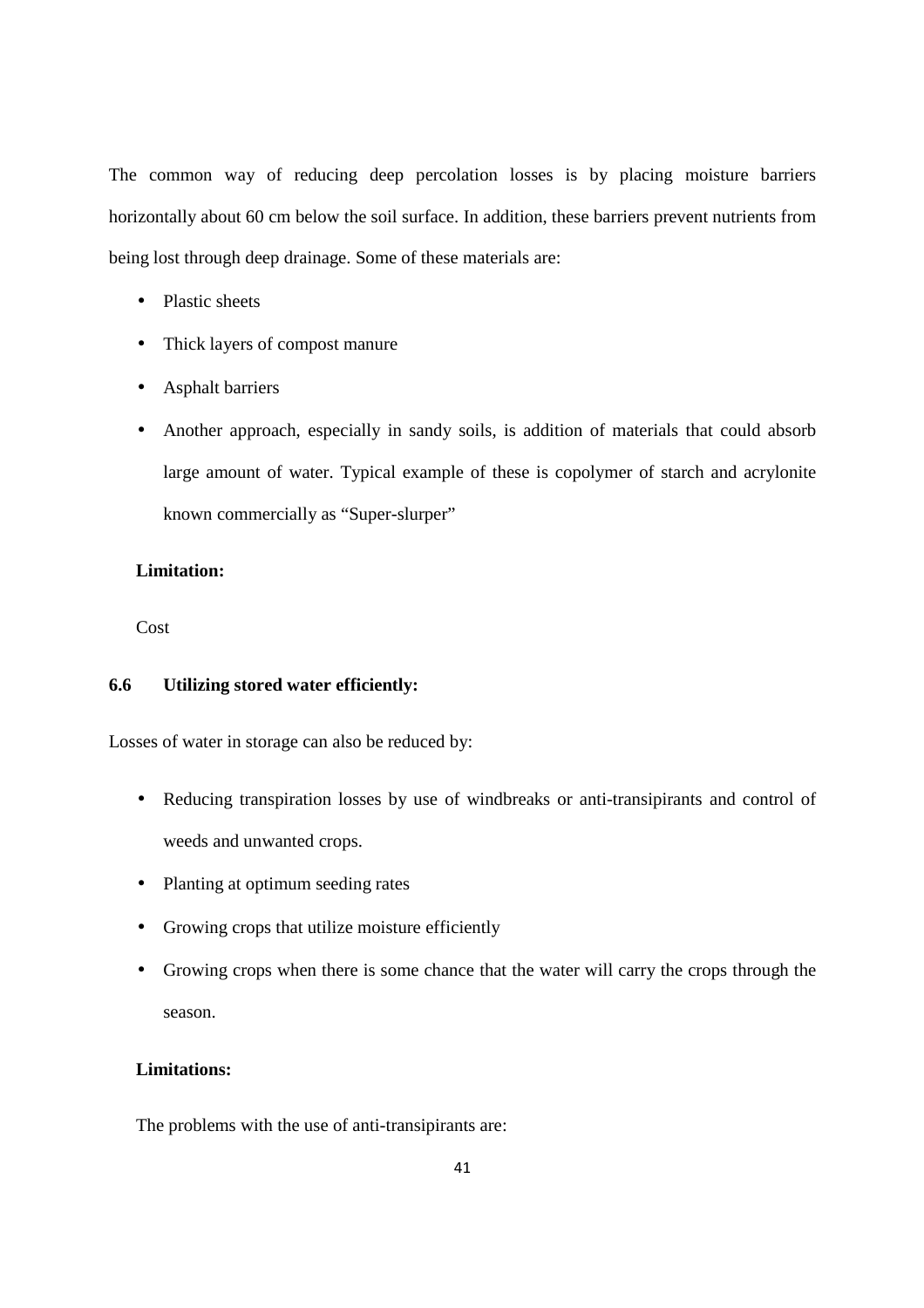The common way of reducing deep percolation losses is by placing moisture barriers horizontally about 60 cm below the soil surface. In addition, these barriers prevent nutrients from being lost through deep drainage. Some of these materials are:

- Plastic sheets
- Thick layers of compost manure
- Asphalt barriers
- Another approach, especially in sandy soils, is addition of materials that could absorb large amount of water. Typical example of these is copolymer of starch and acrylonite known commercially as "Super-slurper"

#### **Limitation:**

Cost

#### **6.6 Utilizing stored water efficiently:**

Losses of water in storage can also be reduced by:

- Reducing transpiration losses by use of windbreaks or anti-transipirants and control of weeds and unwanted crops.
- Planting at optimum seeding rates
- Growing crops that utilize moisture efficiently
- Growing crops when there is some chance that the water will carry the crops through the season.

#### **Limitations:**

The problems with the use of anti-transipirants are: